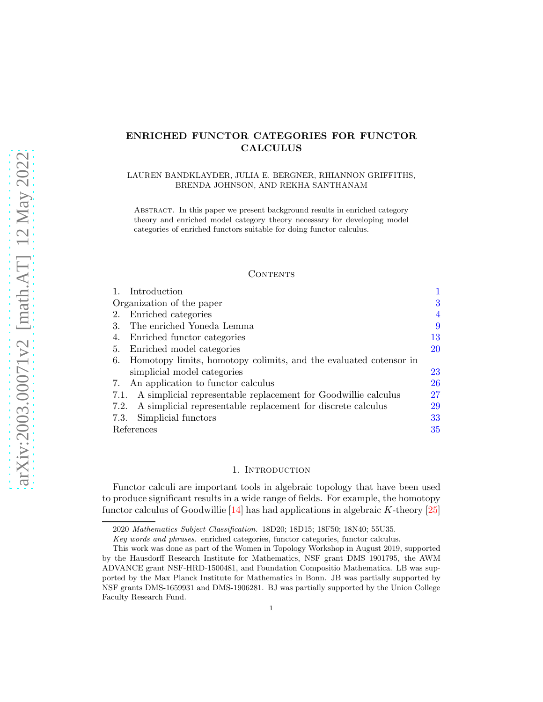# ENRICHED FUNCTOR CATEGORIES FOR FUNCTOR CALCULUS

### LAUREN BANDKLAYDER, JULIA E. BERGNER, RHIANNON GRIFFITHS, BRENDA JOHNSON, AND REKHA SANTHANAM

Abstract. In this paper we present background results in enriched category theory and enriched model category theory necessary for developing model categories of enriched functors suitable for doing functor calculus.

## **CONTENTS**

| Introduction                                                            |           |
|-------------------------------------------------------------------------|-----------|
| Organization of the paper                                               | 3         |
| Enriched categories<br>2.                                               | 4         |
| The enriched Yoneda Lemma<br>3.                                         | 9         |
| Enriched functor categories<br>4.                                       | 13        |
| 5.<br>Enriched model categories                                         | <b>20</b> |
| Homotopy limits, homotopy colimits, and the evaluated cotensor in<br>6. |           |
| simplicial model categories                                             | 23        |
| An application to functor calculus<br>7.                                | 26        |
| A simplicial representable replacement for Goodwillie calculus<br>7.1.  | 27        |
| A simplicial representable replacement for discrete calculus<br>7.2.    | 29        |
| Simplicial functors<br>7.3.                                             | 33        |
| References                                                              | 35        |

#### 1. INTRODUCTION

<span id="page-0-0"></span>Functor calculi are important tools in algebraic topology that have been used to produce significant results in a wide range of fields. For example, the homotopy functor calculus of Goodwillie  $[14]$  has had applications in algebraic K-theory  $[25]$ 

<sup>2020</sup> Mathematics Subject Classification. 18D20; 18D15; 18F50; 18N40; 55U35.

Key words and phrases. enriched categories, functor categories, functor calculus.

This work was done as part of the Women in Topology Workshop in August 2019, supported by the Hausdorff Research Institute for Mathematics, NSF grant DMS 1901795, the AWM ADVANCE grant NSF-HRD-1500481, and Foundation Compositio Mathematica. LB was supported by the Max Planck Institute for Mathematics in Bonn. JB was partially supported by NSF grants DMS-1659931 and DMS-1906281. BJ was partially supported by the Union College Faculty Research Fund.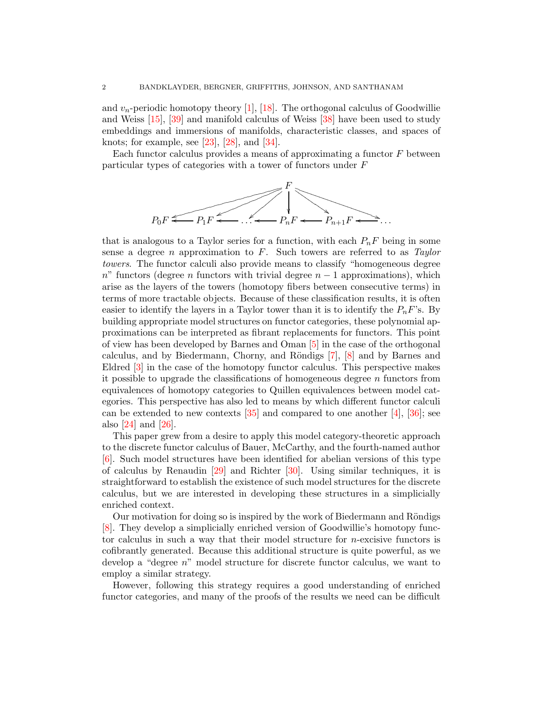and  $v_n$ -periodic homotopy theory [\[1\]](#page-34-2), [\[18\]](#page-35-1). The orthogonal calculus of Goodwillie and Weiss [\[15\]](#page-35-2), [\[39\]](#page-35-3) and manifold calculus of Weiss [\[38\]](#page-35-4) have been used to study embeddings and immersions of manifolds, characteristic classes, and spaces of knots; for example, see  $[23]$ ,  $[28]$ , and  $[34]$ .

Each functor calculus provides a means of approximating a functor  $F$  between particular types of categories with a tower of functors under F



that is analogous to a Taylor series for a function, with each  $P_nF$  being in some sense a degree n approximation to F. Such towers are referred to as *Taylor towers*. The functor calculi also provide means to classify "homogeneous degree  $n^{\prime\prime}$  functors (degree n functors with trivial degree  $n-1$  approximations), which arise as the layers of the towers (homotopy fibers between consecutive terms) in terms of more tractable objects. Because of these classification results, it is often easier to identify the layers in a Taylor tower than it is to identify the  $P_nF$ 's. By building appropriate model structures on functor categories, these polynomial approximations can be interpreted as fibrant replacements for functors. This point of view has been developed by Barnes and Oman [\[5\]](#page-34-3) in the case of the orthogonal calculus, and by Biedermann, Chorny, and R¨ondigs [\[7\]](#page-34-4), [\[8\]](#page-34-5) and by Barnes and Eldred [\[3\]](#page-34-6) in the case of the homotopy functor calculus. This perspective makes it possible to upgrade the classifications of homogeneous degree  $n$  functors from equivalences of homotopy categories to Quillen equivalences between model categories. This perspective has also led to means by which different functor calculi can be extended to new contexts  $[35]$  and compared to one another  $[4]$ ,  $[36]$ ; see also [\[24\]](#page-35-10) and [\[26\]](#page-35-11).

This paper grew from a desire to apply this model category-theoretic approach to the discrete functor calculus of Bauer, McCarthy, and the fourth-named author [\[6\]](#page-34-8). Such model structures have been identified for abelian versions of this type of calculus by Renaudin [\[29\]](#page-35-12) and Richter [\[30\]](#page-35-13). Using similar techniques, it is straightforward to establish the existence of such model structures for the discrete calculus, but we are interested in developing these structures in a simplicially enriched context.

Our motivation for doing so is inspired by the work of Biedermann and Röndigs [\[8\]](#page-34-5). They develop a simplicially enriched version of Goodwillie's homotopy functor calculus in such a way that their model structure for n-excisive functors is cofibrantly generated. Because this additional structure is quite powerful, as we develop a "degree n" model structure for discrete functor calculus, we want to employ a similar strategy.

However, following this strategy requires a good understanding of enriched functor categories, and many of the proofs of the results we need can be difficult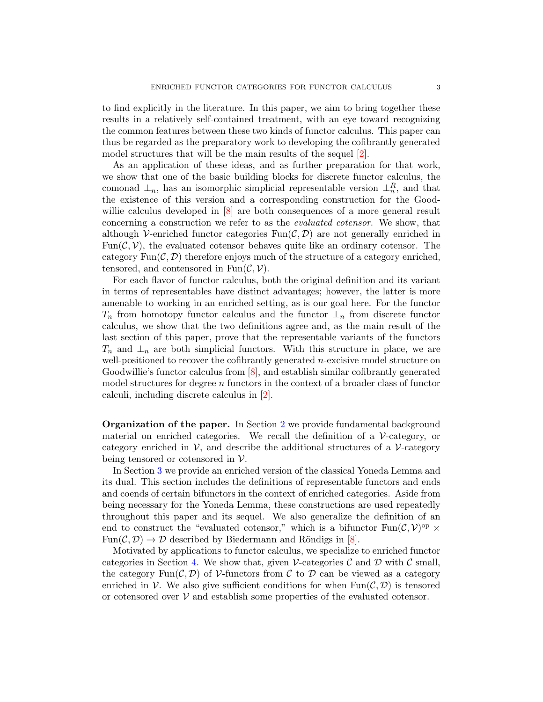to find explicitly in the literature. In this paper, we aim to bring together these results in a relatively self-contained treatment, with an eye toward recognizing the common features between these two kinds of functor calculus. This paper can thus be regarded as the preparatory work to developing the cofibrantly generated model structures that will be the main results of the sequel  $\boxed{2}$ .

As an application of these ideas, and as further preparation for that work, we show that one of the basic building blocks for discrete functor calculus, the comonad  $\perp_n$ , has an isomorphic simplicial representable version  $\perp_n^R$ , and that the existence of this version and a corresponding construction for the Goodwillie calculus developed in  $\vert 8 \vert$  are both consequences of a more general result concerning a construction we refer to as the *evaluated cotensor*. We show, that although V-enriched functor categories  $\text{Fun}(\mathcal{C}, \mathcal{D})$  are not generally enriched in Fun $(C, V)$ , the evaluated cotensor behaves quite like an ordinary cotensor. The category  $\text{Fun}(\mathcal{C}, \mathcal{D})$  therefore enjoys much of the structure of a category enriched, tensored, and contensored in  $Fun(\mathcal{C}, \mathcal{V})$ .

For each flavor of functor calculus, both the original definition and its variant in terms of representables have distinct advantages; however, the latter is more amenable to working in an enriched setting, as is our goal here. For the functor  $T_n$  from homotopy functor calculus and the functor  $\perp_n$  from discrete functor calculus, we show that the two definitions agree and, as the main result of the last section of this paper, prove that the representable variants of the functors  $T_n$  and  $\perp_n$  are both simplicial functors. With this structure in place, we are well-positioned to recover the cofibrantly generated  $n$ -excisive model structure on Goodwillie's functor calculus from [\[8\]](#page-34-5), and establish similar cofibrantly generated model structures for degree  $n$  functors in the context of a broader class of functor calculi, including discrete calculus in [\[2\]](#page-34-9).

<span id="page-2-0"></span>Organization of the paper. In Section [2](#page-3-0) we provide fundamental background material on enriched categories. We recall the definition of a  $\mathcal V$ -category, or category enriched in  $\mathcal{V}$ , and describe the additional structures of a  $\mathcal{V}\text{-category}$ being tensored or cotensored in  $\mathcal V$ .

In Section [3](#page-8-0) we provide an enriched version of the classical Yoneda Lemma and its dual. This section includes the definitions of representable functors and ends and coends of certain bifunctors in the context of enriched categories. Aside from being necessary for the Yoneda Lemma, these constructions are used repeatedly throughout this paper and its sequel. We also generalize the definition of an end to construct the "evaluated cotensor," which is a bifunctor  $\text{Fun}(\mathcal{C}, \mathcal{V})^{\text{op}} \times$  $Fun(\mathcal{C}, \mathcal{D}) \to \mathcal{D}$  described by Biedermann and Röndigs in [\[8\]](#page-34-5).

Motivated by applications to functor calculus, we specialize to enriched functor categories in Section [4.](#page-12-0) We show that, given V-categories  $\mathcal C$  and  $\mathcal D$  with  $\mathcal C$  small, the category  $\text{Fun}(\mathcal{C},\mathcal{D})$  of V-functors from C to D can be viewed as a category enriched in  $\mathcal V$ . We also give sufficient conditions for when  $\text{Fun}(\mathcal{C},\mathcal{D})$  is tensored or cotensored over  $V$  and establish some properties of the evaluated cotensor.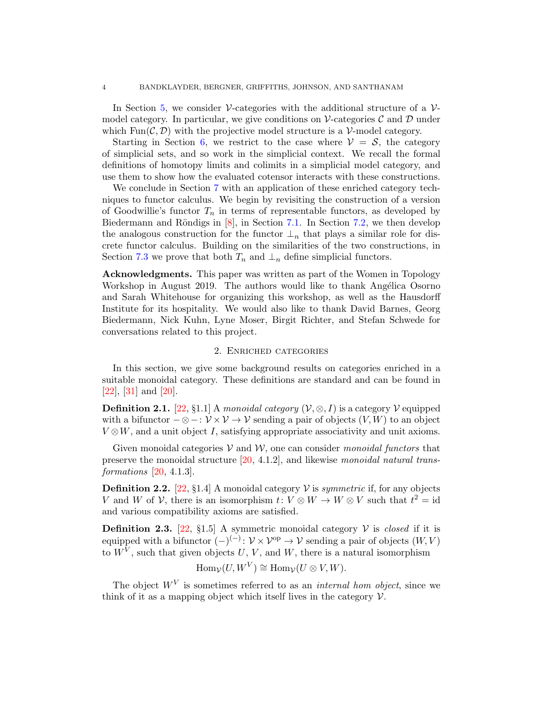In Section [5,](#page-19-0) we consider  $\mathcal V$ -categories with the additional structure of a  $\mathcal V$ model category. In particular, we give conditions on  $\mathcal V$ -categories C and D under which Fun( $\mathcal{C}, \mathcal{D}$ ) with the projective model structure is a V-model category.

Starting in Section [6,](#page-22-0) we restrict to the case where  $\mathcal{V} = \mathcal{S}$ , the category of simplicial sets, and so work in the simplicial context. We recall the formal definitions of homotopy limits and colimits in a simplicial model category, and use them to show how the evaluated cotensor interacts with these constructions.

We conclude in Section [7](#page-25-0) with an application of these enriched category techniques to functor calculus. We begin by revisiting the construction of a version of Goodwillie's functor  $T_n$  in terms of representable functors, as developed by Biedermann and Röndigs in  $[8]$ , in Section [7.1.](#page-26-0) In Section [7.2,](#page-28-0) we then develop the analogous construction for the functor  $\perp_n$  that plays a similar role for discrete functor calculus. Building on the similarities of the two constructions, in Section [7.3](#page-32-0) we prove that both  $T_n$  and  $\perp_n$  define simplicial functors.

Acknowledgments. This paper was written as part of the Women in Topology Workshop in August 2019. The authors would like to thank Angélica Osorno and Sarah Whitehouse for organizing this workshop, as well as the Hausdorff Institute for its hospitality. We would also like to thank David Barnes, Georg Biedermann, Nick Kuhn, Lyne Moser, Birgit Richter, and Stefan Schwede for conversations related to this project.

# 2. Enriched categories

<span id="page-3-0"></span>In this section, we give some background results on categories enriched in a suitable monoidal category. These definitions are standard and can be found in [\[22\]](#page-35-14), [\[31\]](#page-35-15) and [\[20\]](#page-35-16).

**Definition 2.1.** [\[22,](#page-35-14) §1.1] A *monoidal category*  $(\mathcal{V}, \otimes, I)$  is a category  $\mathcal{V}$  equipped with a bifunctor  $-\otimes -: \mathcal{V} \times \mathcal{V} \rightarrow \mathcal{V}$  sending a pair of objects  $(V, W)$  to an object  $V \otimes W$ , and a unit object I, satisfying appropriate associativity and unit axioms.

Given monoidal categories  $V$  and  $W$ , one can consider *monoidal functors* that preserve the monoidal structure [\[20,](#page-35-16) 4.1.2], and likewise *monoidal natural transformations* [\[20,](#page-35-16) 4.1.3].

**Definition 2.2.** [\[22,](#page-35-14) §1.4] A monoidal category  $V$  is *symmetric* if, for any objects V and W of V, there is an isomorphism  $t: V \otimes W \to W \otimes V$  such that  $t^2 = id$ and various compatibility axioms are satisfied.

**Definition 2.3.** [\[22,](#page-35-14) §1.5] A symmetric monoidal category  $V$  is *closed* if it is equipped with a bifunctor  $(-)^{(-)}: \mathcal{V} \times \mathcal{V}^{\text{op}} \to \mathcal{V}$  sending a pair of objects  $(W, V)$ to  $W^V$ , such that given objects  $U, V$ , and  $W$ , there is a natural isomorphism

$$
\operatorname{Hom}_{\mathcal{V}}(U, W^V) \cong \operatorname{Hom}_{\mathcal{V}}(U \otimes V, W).
$$

The object  $W<sup>V</sup>$  is sometimes referred to as an *internal hom object*, since we think of it as a mapping object which itself lives in the category  $\mathcal V$ .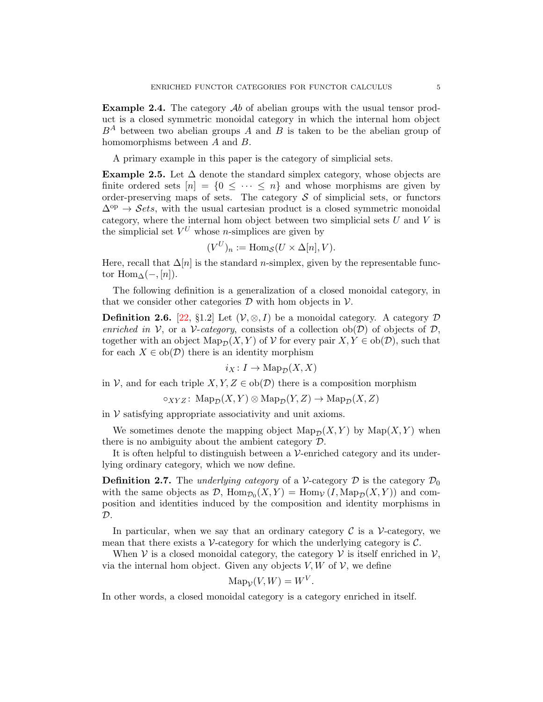**Example 2.4.** The category  $\mathcal{A}b$  of abelian groups with the usual tensor product is a closed symmetric monoidal category in which the internal hom object  $B^A$  between two abelian groups A and B is taken to be the abelian group of homomorphisms between A and B.

<span id="page-4-2"></span>A primary example in this paper is the category of simplicial sets.

Example 2.5. Let  $\Delta$  denote the standard simplex category, whose objects are finite ordered sets  $[n] = \{0 \leq \cdots \leq n\}$  and whose morphisms are given by order-preserving maps of sets. The category  $\mathcal S$  of simplicial sets, or functors  $\Delta^{op} \rightarrow \mathcal{S}ets$ , with the usual cartesian product is a closed symmetric monoidal category, where the internal hom object between two simplicial sets  $U$  and  $V$  is the simplicial set  $V^U$  whose *n*-simplices are given by

$$
(V^U)_n := \text{Hom}_{\mathcal{S}}(U \times \Delta[n], V).
$$

Here, recall that  $\Delta[n]$  is the standard *n*-simplex, given by the representable functor Hom $\Delta(-, [n])$ .

The following definition is a generalization of a closed monoidal category, in that we consider other categories  $D$  with hom objects in  $V$ .

**Definition 2.6.** [\[22,](#page-35-14) §1.2] Let  $(V, \otimes, I)$  be a monoidal category. A category D *enriched in*  $V$ , or a  $V$ -*category*, consists of a collection ob( $D$ ) of objects of  $D$ , together with an object  $\text{Map}_{\mathcal{D}}(X, Y)$  of  $\mathcal V$  for every pair  $X, Y \in ob(\mathcal{D})$ , such that for each  $X \in ob(\mathcal{D})$  there is an identity morphism

$$
i_X\colon I\to\mathrm{Map}_{\mathcal{D}}(X,X)
$$

in V, and for each triple  $X, Y, Z \in ob(\mathcal{D})$  there is a composition morphism

$$
\circ_{XYZ}\colon \operatorname{Map}_{\mathcal{D}}(X,Y)\otimes \operatorname{Map}_{\mathcal{D}}(Y,Z)\to \operatorname{Map}_{\mathcal{D}}(X,Z)
$$

in  $V$  satisfying appropriate associativity and unit axioms.

We sometimes denote the mapping object  $\operatorname{Map_{\mathcal{D}}}(X, Y)$  by  $\operatorname{Map}(X, Y)$  when there is no ambiguity about the ambient category  $\mathcal{D}$ .

<span id="page-4-0"></span>It is often helpful to distinguish between a  $\mathcal V$ -enriched category and its underlying ordinary category, which we now define.

**Definition 2.7.** The *underlying category* of a V-category  $\mathcal{D}$  is the category  $\mathcal{D}_0$ with the same objects as  $D$ ,  $\text{Hom}_{\mathcal{D}_0}(X, Y) = \text{Hom}_{\mathcal{V}}(I, \text{Map}_{\mathcal{D}}(X, Y))$  and composition and identities induced by the composition and identity morphisms in  $\mathcal{D}$ .

In particular, when we say that an ordinary category  $\mathcal C$  is a V-category, we mean that there exists a  $\mathcal V$ -category for which the underlying category is  $\mathcal C$ .

When  $V$  is a closed monoidal category, the category  $V$  is itself enriched in  $V$ , via the internal hom object. Given any objects  $V, W$  of  $V$ , we define

$$
\operatorname{Map}_{\mathcal{V}}(V, W) = W^V
$$

.

<span id="page-4-1"></span>In other words, a closed monoidal category is a category enriched in itself.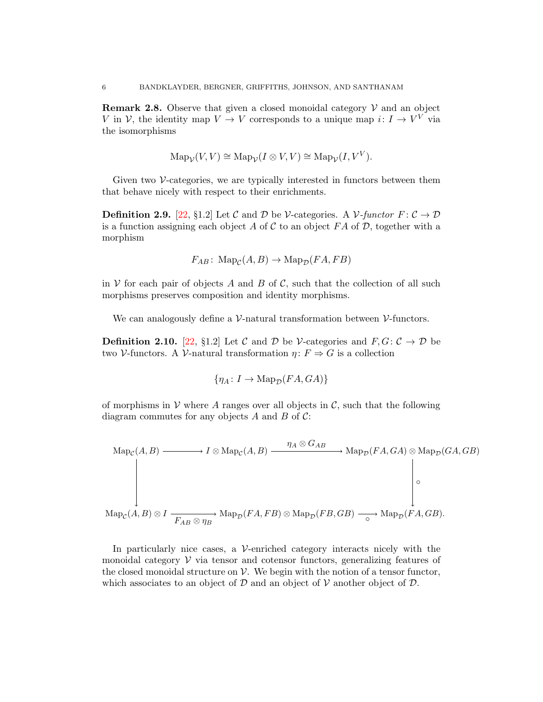**Remark 2.8.** Observe that given a closed monoidal category  $V$  and an object V in V, the identity map  $V \to V$  corresponds to a unique map  $i: I \to V^V$  via the isomorphisms

$$
\operatorname{Map}_{\mathcal{V}}(V, V) \cong \operatorname{Map}_{\mathcal{V}}(I \otimes V, V) \cong \operatorname{Map}_{\mathcal{V}}(I, V^V).
$$

Given two  $\mathcal V$ -categories, we are typically interested in functors between them that behave nicely with respect to their enrichments.

**Definition 2.9.** [\[22,](#page-35-14) §1.2] Let C and D be V-categories. A V-functor  $F: \mathcal{C} \to \mathcal{D}$ is a function assigning each object A of C to an object FA of D, together with a morphism

$$
F_{AB}\colon \operatorname{Map}_{\mathcal{C}}(A, B) \to \operatorname{Map}_{\mathcal{D}}(FA, FB)
$$

in V for each pair of objects A and B of C, such that the collection of all such morphisms preserves composition and identity morphisms.

<span id="page-5-1"></span>We can analogously define a  $\mathcal{V}\text{-natural transformation between }\mathcal{V}\text{-functions.}$ 

**Definition 2.10.** [\[22,](#page-35-14) §1.2] Let C and D be V-categories and  $F, G: \mathcal{C} \to \mathcal{D}$  be two V-functors. A V-natural transformation  $\eta: F \Rightarrow G$  is a collection

$$
\{\eta_A \colon I \to \mathrm{Map}_{\mathcal{D}}(FA, GA)\}
$$

of morphisms in V where A ranges over all objects in  $\mathcal{C}$ , such that the following diagram commutes for any objects A and B of  $\mathcal{C}$ :

$$
\mathrm{Map}_{\mathcal{C}}(A, B) \longrightarrow I \otimes \mathrm{Map}_{\mathcal{C}}(A, B) \longrightarrow \mathrm{Map}_{\mathcal{D}}(FA, GA) \otimes \mathrm{Map}_{\mathcal{D}}(FA, GA) \otimes \mathrm{Map}_{\mathcal{D}}(GA, GB)
$$
\n
$$
\downarrow \qquad \qquad \downarrow \qquad \qquad \downarrow \qquad \qquad \downarrow \qquad \qquad \downarrow \qquad \qquad \downarrow \qquad \qquad \downarrow \qquad \qquad \downarrow \qquad \downarrow \qquad \downarrow \qquad \downarrow \qquad \downarrow \qquad \downarrow \qquad \downarrow \qquad \downarrow \qquad \downarrow \qquad \downarrow \qquad \downarrow \qquad \downarrow \qquad \downarrow \qquad \downarrow \qquad \downarrow \qquad \downarrow \qquad \downarrow \qquad \downarrow \qquad \downarrow \qquad \downarrow \qquad \downarrow \qquad \downarrow \qquad \downarrow \qquad \downarrow \qquad \downarrow \qquad \downarrow \qquad \downarrow \qquad \downarrow \qquad \downarrow \qquad \downarrow \qquad \downarrow \qquad \downarrow \qquad \downarrow \qquad \downarrow \qquad \downarrow \qquad \downarrow \qquad \downarrow \qquad \downarrow \qquad \downarrow \qquad \downarrow \qquad \downarrow \qquad \downarrow \qquad \downarrow \qquad \downarrow \qquad \downarrow \qquad \downarrow \qquad \downarrow \qquad \downarrow \qquad \downarrow \qquad \downarrow \qquad \downarrow \qquad \downarrow \qquad \downarrow \qquad \downarrow \qquad \downarrow \qquad \downarrow \qquad \downarrow \qquad \downarrow \qquad \downarrow \qquad \downarrow \qquad \downarrow \qquad \downarrow \qquad \downarrow \qquad \downarrow \qquad \downarrow \qquad \downarrow \qquad \downarrow \qquad \downarrow \qquad \downarrow \qquad \downarrow \qquad \downarrow \qquad \downarrow \qquad \downarrow \qquad \downarrow \qquad \downarrow \qquad \downarrow \qquad \downarrow \qquad \downarrow \qquad \downarrow \qquad \downarrow \qquad \downarrow \qquad \downarrow \qquad \downarrow \qquad \downarrow \qquad \downarrow \qquad \downarrow \qquad \downarrow \qquad \downarrow \qquad \downarrow \qquad \downarrow \qquad \downarrow \qquad \downarrow \qquad \downarrow \qquad \downarrow \qquad \downarrow \qquad \downarrow \qquad \downarrow \qquad \downarrow \qquad \downarrow \qquad \
$$

<span id="page-5-0"></span>In particularly nice cases, a  $\mathcal V$ -enriched category interacts nicely with the monoidal category  $\mathcal V$  via tensor and cotensor functors, generalizing features of the closed monoidal structure on  $\mathcal V$ . We begin with the notion of a tensor functor, which associates to an object of  $D$  and an object of  $V$  another object of  $D$ .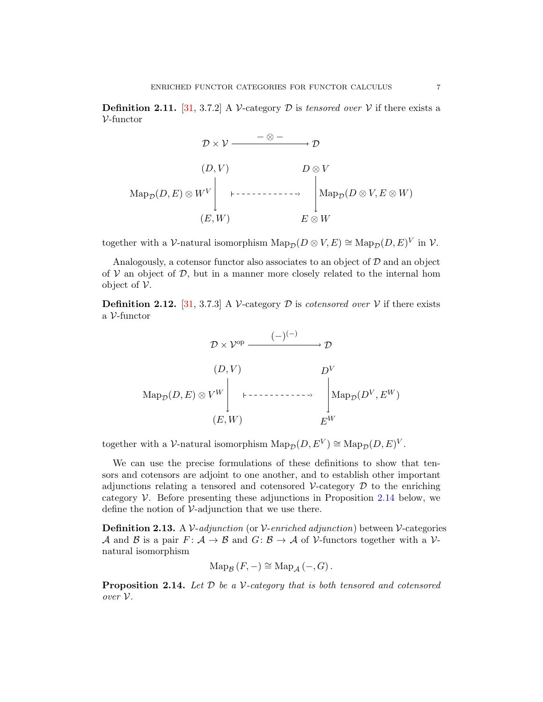**Definition 2.11.** [\[31,](#page-35-15) 3.7.2] A V-category D is *tensored over* V if there exists a  $V$ -functor

$$
\mathcal{D} \times \mathcal{V} \xrightarrow{\qquad - \otimes -} \mathcal{D}
$$
\n
$$
(D, V) \qquad \qquad D \otimes V
$$
\n
$$
\text{Map}_{\mathcal{D}}(D, E) \otimes W^V \qquad \qquad \downarrow \qquad \downarrow \qquad \downarrow
$$
\n
$$
(E, W) \qquad \qquad E \otimes W
$$

together with a V-natural isomorphism  $\text{Map}_{\mathcal{D}}(D \otimes V, E) \cong \text{Map}_{\mathcal{D}}(D, E)^{V}$  in V.

Analogously, a cotensor functor also associates to an object of  $D$  and an object of  $V$  an object of  $\mathcal{D}$ , but in a manner more closely related to the internal hom object of  $V$ .

<span id="page-6-1"></span>**Definition 2.12.** [\[31,](#page-35-15) 3.7.3] A V-category D is *cotensored over* V if there exists a V-functor



together with a V-natural isomorphism  $\mathrm{Map}_{\mathcal{D}}(D, E^V) \cong \mathrm{Map}_{\mathcal{D}}(D, E)^V$ .

We can use the precise formulations of these definitions to show that tensors and cotensors are adjoint to one another, and to establish other important adjunctions relating a tensored and cotensored  $\mathcal V$ -category  $\mathcal D$  to the enriching category  $\mathcal V$ . Before presenting these adjunctions in Proposition [2.14](#page-6-0) below, we define the notion of  $\mathcal V$ -adjunction that we use there.

Definition 2.13. A V-*adjunction* (or V-*enriched adjunction*) between V-categories A and B is a pair  $F: \mathcal{A} \to \mathcal{B}$  and  $G: \mathcal{B} \to \mathcal{A}$  of V-functors together with a Vnatural isomorphism

$$
\operatorname{Map}_{\mathcal{B}}\left(F,-\right)\cong\operatorname{Map}_{\mathcal{A}}\left(-,G\right).
$$

<span id="page-6-0"></span>Proposition 2.14. *Let* D *be a* V*-category that is both tensored and cotensored over* V*.*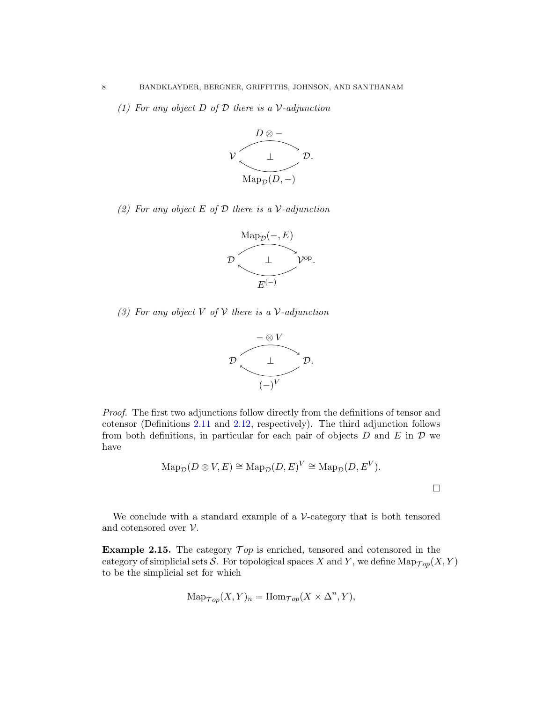*(1) For any object* D *of* D *there is a* V*-adjunction*



*(2) For any object* E *of* D *there is a* V*-adjunction*



*(3) For any object* V *of* V *there is a* V*-adjunction*



*Proof.* The first two adjunctions follow directly from the definitions of tensor and cotensor (Definitions [2.11](#page-5-0) and [2.12,](#page-6-1) respectively). The third adjunction follows from both definitions, in particular for each pair of objects  $D$  and  $E$  in  $D$  we have

$$
\operatorname{Map}_{\mathcal{D}}(D \otimes V, E) \cong \operatorname{Map}_{\mathcal{D}}(D, E)^{V} \cong \operatorname{Map}_{\mathcal{D}}(D, E^{V}).
$$

We conclude with a standard example of a  $\mathcal V$ -category that is both tensored and cotensored over  $V$ .

Example 2.15. The category  $\mathcal{T}_{op}$  is enriched, tensored and cotensored in the category of simplicial sets S. For topological spaces X and Y, we define  $\text{Map}_{\mathcal{Top}}(X, Y)$ to be the simplicial set for which

$$
\operatorname{Map}_{\mathcal{Top}}(X, Y)_n = \operatorname{Hom}_{\mathcal{Top}}(X \times \Delta^n, Y),
$$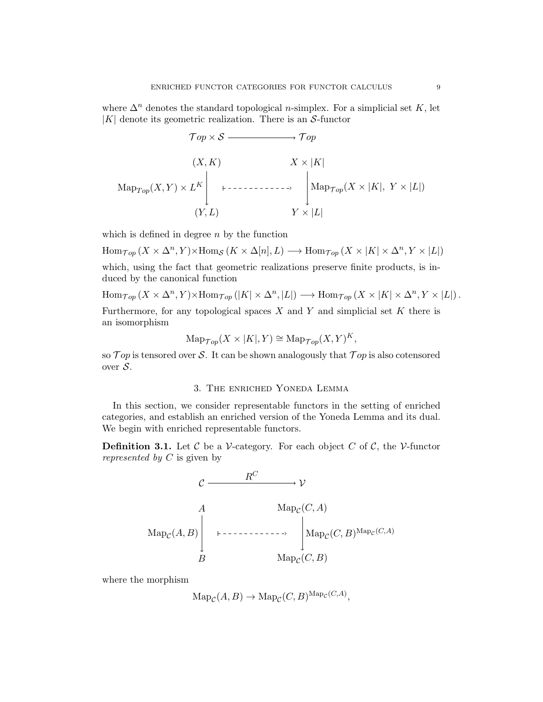where  $\Delta^n$  denotes the standard topological n-simplex. For a simplicial set K, let  $|K|$  denote its geometric realization. There is an S-functor

$$
\mathcal{T}op \times \mathcal{S} \longrightarrow \mathcal{T}op
$$
  

$$
(X, K) \qquad X \times |K|
$$
  

$$
\operatorname{Map}_{\mathcal{T}op}(X, Y) \times L^K \Bigg|_{(Y, L)} \longmapsto \operatorname{Map}_{\mathcal{T}op}(X \times |K|, Y \times |L|)
$$
  

$$
(Y, L) \qquad Y \times |L|
$$

which is defined in degree  $n$  by the function

 $\text{Hom}_{\mathcal{Top}}(X \times \Delta^n, Y) \times \text{Hom}_{\mathcal{S}}(K \times \Delta[n], L) \longrightarrow \text{Hom}_{\mathcal{Top}}(X \times |K| \times \Delta^n, Y \times |L|)$ which, using the fact that geometric realizations preserve finite products, is induced by the canonical function

 $\text{Hom}_{\mathcal{Top}}(X \times \Delta^n, Y) \times \text{Hom}_{\mathcal{Top}}(|K| \times \Delta^n, |L|) \longrightarrow \text{Hom}_{\mathcal{Top}}(X \times |K| \times \Delta^n, Y \times |L|).$ 

Furthermore, for any topological spaces  $X$  and  $Y$  and simplicial set  $K$  there is an isomorphism

$$
\operatorname{Map}_{\mathcal{Top}}(X \times |K|, Y) \cong \operatorname{Map}_{\mathcal{Top}}(X, Y)^K,
$$

<span id="page-8-0"></span>so  $\mathcal Top$  is tensored over S. It can be shown analogously that  $\mathcal Top$  is also cotensored over S.

#### 3. The enriched Yoneda Lemma

In this section, we consider representable functors in the setting of enriched categories, and establish an enriched version of the Yoneda Lemma and its dual. We begin with enriched representable functors.

<span id="page-8-1"></span>**Definition 3.1.** Let C be a V-category. For each object C of C, the V-functor *represented by* C is given by



where the morphism

$$
\mathrm{Map}_{\mathcal{C}}(A, B) \to \mathrm{Map}_{\mathcal{C}}(C, B)^{\mathrm{Map}_{\mathcal{C}}(C, A)},
$$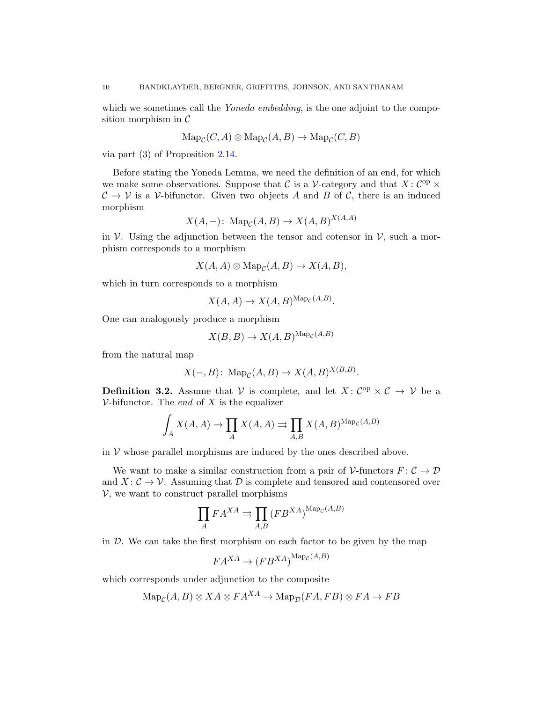which we sometimes call the *Yoneda embedding*, is the one adjoint to the composition morphism in  $\mathcal C$ 

$$
\mathrm{Map}_{\mathcal{C}}(C, A) \otimes \mathrm{Map}_{\mathcal{C}}(A, B) \to \mathrm{Map}_{\mathcal{C}}(C, B)
$$

via part (3) of Proposition [2.14.](#page-6-0)

Before stating the Yoneda Lemma, we need the definition of an end, for which we make some observations. Suppose that C is a V-category and that  $X: C^{op} \times$  $C \to V$  is a V-bifunctor. Given two objects A and B of C, there is an induced morphism

$$
X(A, -): \operatorname{Map}_{\mathcal{C}}(A, B) \to X(A, B)^{X(A, A)}
$$

in  $\mathcal V$ . Using the adjunction between the tensor and cotensor in  $\mathcal V$ , such a morphism corresponds to a morphism

$$
X(A, A) \otimes \mathrm{Map}_{\mathcal{C}}(A, B) \to X(A, B),
$$

which in turn corresponds to a morphism

$$
X(A, A) \to X(A, B)^{\text{Map}_{\mathcal{C}}(A, B)}.
$$

One can analogously produce a morphism

$$
X(B, B) \to X(A, B)^{\text{Map}_{\mathcal{C}}(A, B)}
$$

from the natural map

$$
X(-,B) \colon \operatorname{Map}_{\mathcal{C}}(A,B) \to X(A,B)^{X(B,B)}.
$$

**Definition 3.2.** Assume that V is complete, and let  $X: \mathcal{C}^{op} \times \mathcal{C} \rightarrow \mathcal{V}$  be a  $V\text{-bifunctor. The end of } X$  is the equalizer

$$
\int_{A} X(A, A) \to \prod_{A} X(A, A) \rightrightarrows \prod_{A, B} X(A, B)^{\text{Map}_{\mathcal{C}}(A, B)}
$$

in  $V$  whose parallel morphisms are induced by the ones described above.

We want to make a similar construction from a pair of  $\mathcal V$ -functors  $F: \mathcal C \to \mathcal D$ and  $X: \mathcal{C} \to \mathcal{V}$ . Assuming that  $\mathcal{D}$  is complete and tensored and contensored over  $V$ , we want to construct parallel morphisms

$$
\prod_{A} F A^{XA} \rightrightarrows \prod_{A,B} \left( F B^{XA} \right)^{\text{Map}_c(A,B)}
$$

in  $D$ . We can take the first morphism on each factor to be given by the map

$$
FA^{XA} \to (FB^{XA})^{Map_c(A,B)}
$$

which corresponds under adjunction to the composite

$$
\text{Map}_{\mathcal{C}}(A, B) \otimes XA \otimes FA^{XA} \to \text{Map}_{\mathcal{D}}(FA, FB) \otimes FA \to FB
$$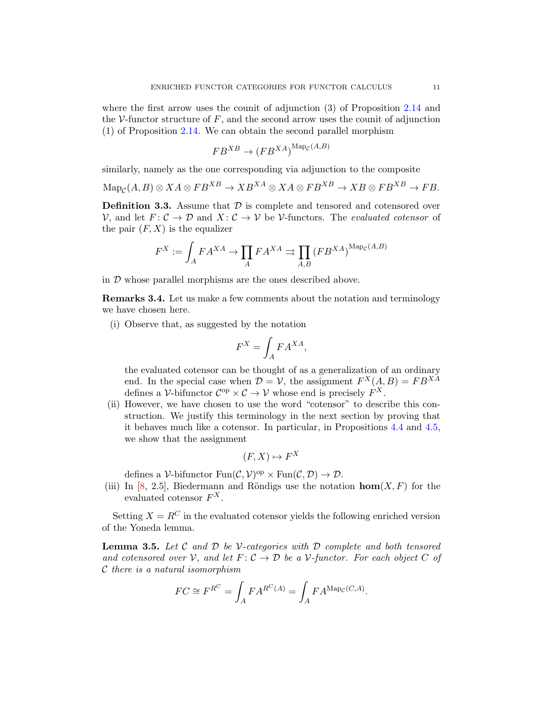where the first arrow uses the counit of adjunction (3) of Proposition [2.14](#page-6-0) and the V-functor structure of  $F$ , and the second arrow uses the counit of adjunction (1) of Proposition [2.14.](#page-6-0) We can obtain the second parallel morphism

$$
FB^{XB} \to (FB^{XA})^{\text{Map}_{\mathcal{C}}(A,B)}
$$

similarly, namely as the one corresponding via adjunction to the composite

<span id="page-10-0"></span>
$$
\mathrm{Map}_{\mathcal{C}}(A, B) \otimes XA \otimes FB^{XB} \to XB^{XA} \otimes XA \otimes FB^{XB} \to XB \otimes FB^{XB} \to FB.
$$

**Definition 3.3.** Assume that  $\mathcal{D}$  is complete and tensored and cotensored over  $\mathcal{V}$ , and let  $F: \mathcal{C} \to \mathcal{D}$  and  $X: \mathcal{C} \to \mathcal{V}$  be *V*-functors. The *evaluated cotensor* of the pair  $(F, X)$  is the equalizer

$$
F^X := \int_A F A^{XA} \to \prod_A F A^{XA} \rightrightarrows \prod_{A,B} \left( F B^{XA} \right)^{\mathrm{Map}_{\mathcal{C}}(A,B)}
$$

<span id="page-10-1"></span>in D whose parallel morphisms are the ones described above.

Remarks 3.4. Let us make a few comments about the notation and terminology we have chosen here.

(i) Observe that, as suggested by the notation

$$
F^X = \int_A F A^{XA},
$$

the evaluated cotensor can be thought of as a generalization of an ordinary end. In the special case when  $\mathcal{D} = \mathcal{V}$ , the assignment  $F^X(A, B) = F B^{XA}$ defines a V-bifunctor  $\mathcal{C}^{op} \times \mathcal{C} \to \mathcal{V}$  whose end is precisely  $F^X$ .

(ii) However, we have chosen to use the word "cotensor" to describe this construction. We justify this terminology in the next section by proving that it behaves much like a cotensor. In particular, in Propositions [4.4](#page-16-0) and [4.5,](#page-18-0) we show that the assignment

$$
(F, X) \mapsto F^X
$$

defines a V-bifunctor  $\text{Fun}(\mathcal{C}, \mathcal{V})^{\text{op}} \times \text{Fun}(\mathcal{C}, \mathcal{D}) \to \mathcal{D}.$ 

(iii) In [\[8,](#page-34-5) 2.5], Biedermann and Röndigs use the notation  $\textbf{hom}(X, F)$  for the evaluated cotensor  $F^X$ .

<span id="page-10-2"></span>Setting  $X = R^C$  in the evaluated cotensor yields the following enriched version of the Yoneda lemma.

Lemma 3.5. *Let* C *and* D *be* V*-categories with* D *complete and both tensored and cotensored over*  $V$ *, and let*  $F: C \to D$  *be a*  $V$ -functor. For each object C of C *there is a natural isomorphism*

$$
FC \cong F^{R^C} = \int_A FA^{R^C(A)} = \int_A FA^{\text{Map}_C(C,A)}.
$$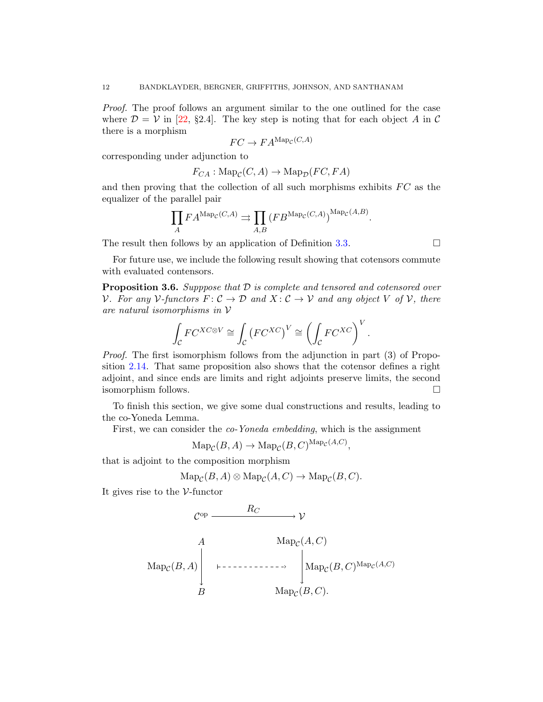*Proof.* The proof follows an argument similar to the one outlined for the case where  $\mathcal{D} = \mathcal{V}$  in [\[22,](#page-35-14) §2.4]. The key step is noting that for each object A in C there is a morphism

$$
FC \to FA^{\text{Map}_{\mathcal{C}}(C,A)}
$$

corresponding under adjunction to

$$
F_{CA}: \text{Map}_{\mathcal{C}}(C, A) \to \text{Map}_{\mathcal{D}}(FC, FA)
$$

and then proving that the collection of all such morphisms exhibits  $FC$  as the equalizer of the parallel pair

$$
\prod_A FA^{\mathrm{Map}_{\mathcal{C}}(C,A)} \rightrightarrows \prod_{A,B} (FB^{\mathrm{Map}_{\mathcal{C}}(C,A)})^{\mathrm{Map}_{\mathcal{C}}(A,B)}.
$$

The result then follows by an application of Definition [3.3.](#page-10-0)  $\Box$ 

<span id="page-11-0"></span>For future use, we include the following result showing that cotensors commute with evaluated contensors.

Proposition 3.6. *Supppose that* D *is complete and tensored and cotensored over V.* For any  $V$ -functors  $F: \mathcal{C} \to \mathcal{D}$  and  $X: \mathcal{C} \to \mathcal{V}$  and any object V of V, there *are natural isomorphisms in* V

$$
\int_{\mathcal{C}} FC^{XC \otimes V} \cong \int_{\mathcal{C}} \left( FC^{XC} \right)^V \cong \left( \int_{\mathcal{C}} FC^{XC} \right)^V.
$$

*Proof.* The first isomorphism follows from the adjunction in part (3) of Proposition [2.14.](#page-6-0) That same proposition also shows that the cotensor defines a right adjoint, and since ends are limits and right adjoints preserve limits, the second isomorphism follows.

To finish this section, we give some dual constructions and results, leading to the co-Yoneda Lemma.

First, we can consider the *co-Yoneda embedding*, which is the assignment

 $\text{Map}_{\mathcal{C}}(B, A) \to \text{Map}_{\mathcal{C}}(B, C)^{\text{Map}_{\mathcal{C}}(A, C)},$ 

that is adjoint to the composition morphism

$$
\operatorname{Map}_{\mathcal{C}}(B, A) \otimes \operatorname{Map}_{\mathcal{C}}(A, C) \to \operatorname{Map}_{\mathcal{C}}(B, C).
$$

It gives rise to the  $\mathcal V\text{-}\text{functor}$ 

$$
\mathcal{C}^{\text{op}} \xrightarrow{\qquad R_C} \mathcal{V}
$$
\n
$$
\text{Map}_{\mathcal{C}}(B, A) \begin{vmatrix}\nA & \text{Map}_{\mathcal{C}}(A, C) \\
\downarrow & \text{Map}_{\mathcal{C}}(B, C)^{\text{Map}_{\mathcal{C}}(A, C)} \\
B & \text{Map}_{\mathcal{C}}(B, C).\n\end{vmatrix}
$$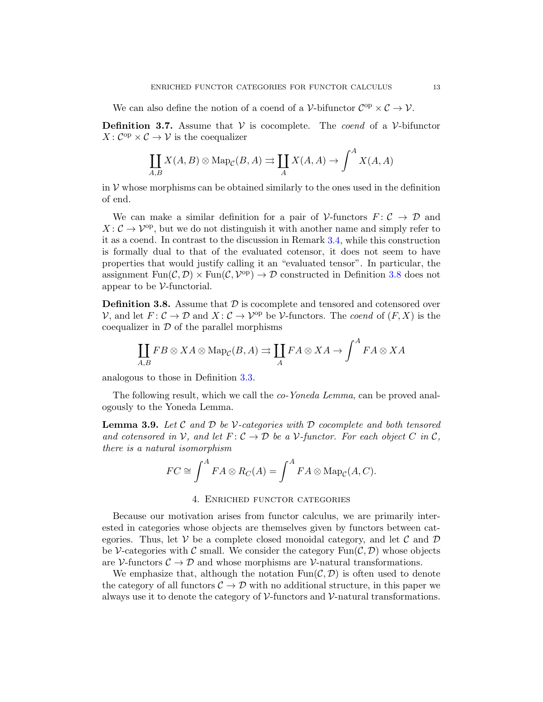We can also define the notion of a coend of a  $\mathcal{V}\text{-bifunctor } \mathcal{C}^{\text{op}} \times \mathcal{C} \to \mathcal{V}$ .

**Definition 3.7.** Assume that  $V$  is cocomplete. The *coend* of a  $V$ -bifunctor  $X: \mathcal{C}^{\mathrm{op}} \times \mathcal{C} \to \mathcal{V}$  is the coequalizer

$$
\coprod_{A,B} X(A,B) \otimes \operatorname{Map}_{\mathcal{C}}(B,A) \rightrightarrows \coprod_{A} X(A,A) \to \int^{A} X(A,A)
$$

in  $V$  whose morphisms can be obtained similarly to the ones used in the definition of end.

We can make a similar definition for a pair of  $\mathcal V$ -functors  $F: \mathcal C \to \mathcal D$  and  $X: \mathcal{C} \to \mathcal{V}^{\text{op}}$ , but we do not distinguish it with another name and simply refer to it as a coend. In contrast to the discussion in Remark [3.4,](#page-10-1) while this construction is formally dual to that of the evaluated cotensor, it does not seem to have properties that would justify calling it an "evaluated tensor". In particular, the assignment  $\text{Fun}(\mathcal{C},\mathcal{D}) \times \text{Fun}(\mathcal{C},\mathcal{V}^{\text{op}}) \to \mathcal{D}$  constructed in Definition [3.8](#page-12-1) does not appear to be  $\mathcal V$ -functorial.

<span id="page-12-1"></span>**Definition 3.8.** Assume that  $\mathcal{D}$  is cocomplete and tensored and cotensored over  $\mathcal V$ , and let  $F: \mathcal C \to \mathcal D$  and  $X: \mathcal C \to \mathcal V^{\rm op}$  be  $\mathcal V$ -functors. The *coend* of  $(F, X)$  is the coequalizer in  $\mathcal D$  of the parallel morphisms

$$
\coprod_{A,B} FB \otimes XA \otimes \mathrm{Map}_{\mathcal{C}}(B,A) \rightrightarrows \coprod_{A} FA \otimes XA \to \int^{A} FA \otimes XA
$$

analogous to those in Definition [3.3.](#page-10-0)

The following result, which we call the *co-Yoneda Lemma*, can be proved analogously to the Yoneda Lemma.

Lemma 3.9. *Let* C *and* D *be* V*-categories with* D *cocomplete and both tensored and cotensored in*  $V$ *, and let*  $F: C \to D$  *be a*  $V$ *-functor. For each object*  $C$  *in*  $C$ *, there is a natural isomorphism*

$$
FC \cong \int^A FA \otimes R_C(A) = \int^A FA \otimes \mathrm{Map}_{\mathcal{C}}(A, C).
$$

## 4. Enriched functor categories

<span id="page-12-0"></span>Because our motivation arises from functor calculus, we are primarily interested in categories whose objects are themselves given by functors between categories. Thus, let  $V$  be a complete closed monoidal category, and let C and D be V-categories with C small. We consider the category  $\text{Fun}(\mathcal{C},\mathcal{D})$  whose objects are V-functors  $C \to \mathcal{D}$  and whose morphisms are V-natural transformations.

We emphasize that, although the notation  $\text{Fun}(\mathcal{C}, \mathcal{D})$  is often used to denote the category of all functors  $C \to \mathcal{D}$  with no additional structure, in this paper we always use it to denote the category of  $\mathcal V$ -functors and  $\mathcal V$ -natural transformations.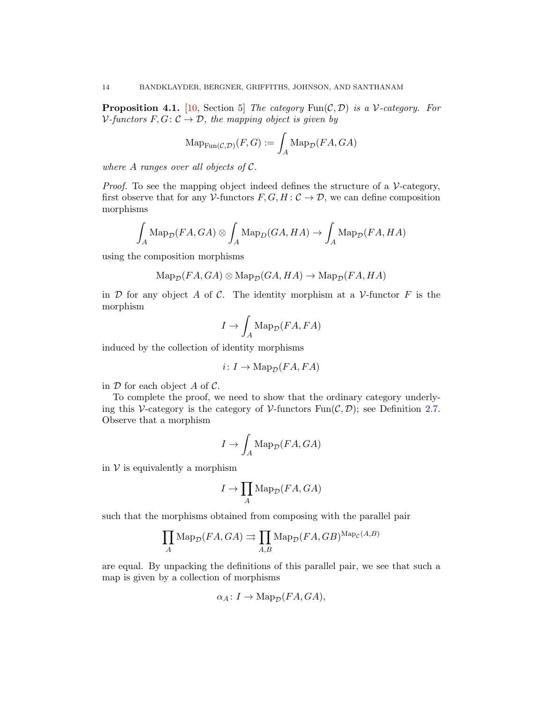**Proposition 4.1.** [\[10,](#page-34-10) Section 5] *The category*  $\text{Fun}(\mathcal{C}, \mathcal{D})$  *is a V*-*category*. For  $V$ -functors  $F, G: \mathcal{C} \to \mathcal{D}$ , the mapping object is given by

$$
\mathrm{Map}_{\mathrm{Fun}(\mathcal{C},\mathcal{D})}(F,G) := \int_A \mathrm{Map}_{\mathcal{D}}(FA,GA)
$$

*where* A *ranges over all objects of* C*.*

*Proof.* To see the mapping object indeed defines the structure of a  $\mathcal{V}\text{-category}$ , first observe that for any  $V$ -functors  $F, G, H: \mathcal{C} \to \mathcal{D}$ , we can define composition morphisms

$$
\int_A \operatorname{Map}_{\mathcal{D}}(FA, GA) \otimes \int_A \operatorname{Map}_{D}(GA, HA) \to \int_A \operatorname{Map}_{\mathcal{D}}(FA, HA)
$$

using the composition morphisms

$$
\text{Map}_{\mathcal{D}}(FA, GA) \otimes \text{Map}_{\mathcal{D}}(GA, HA) \to \text{Map}_{\mathcal{D}}(FA, HA)
$$

in  $\mathcal D$  for any object A of C. The identity morphism at a V-functor F is the morphism

$$
I \to \int_A \text{Map}_{\mathcal{D}}(FA, FA)
$$

induced by the collection of identity morphisms

$$
i\colon I\to\mathrm{Map}_{\mathcal{D}}(FA,FA)
$$

in  $\mathcal D$  for each object A of  $\mathcal C$ .

To complete the proof, we need to show that the ordinary category underlying this V-category is the category of V-functors  $\text{Fun}(\mathcal{C}, \mathcal{D})$ ; see Definition [2.7.](#page-4-0) Observe that a morphism

$$
I \to \int_A \mathrm{Map}_{\mathcal{D}}(FA, GA)
$$

in  $V$  is equivalently a morphism

$$
I \to \prod_A \operatorname{Map}_{\mathcal{D}}(FA, GA)
$$

such that the morphisms obtained from composing with the parallel pair

$$
\prod_{A} \text{Map}_{\mathcal{D}}(FA, GA) \rightrightarrows \prod_{A,B} \text{Map}_{\mathcal{D}}(FA, GB)^{\text{Map}_{\mathcal{C}}(A,B)}
$$

are equal. By unpacking the definitions of this parallel pair, we see that such a map is given by a collection of morphisms

$$
\alpha_A \colon I \to \mathrm{Map}_{\mathcal{D}}(FA, GA),
$$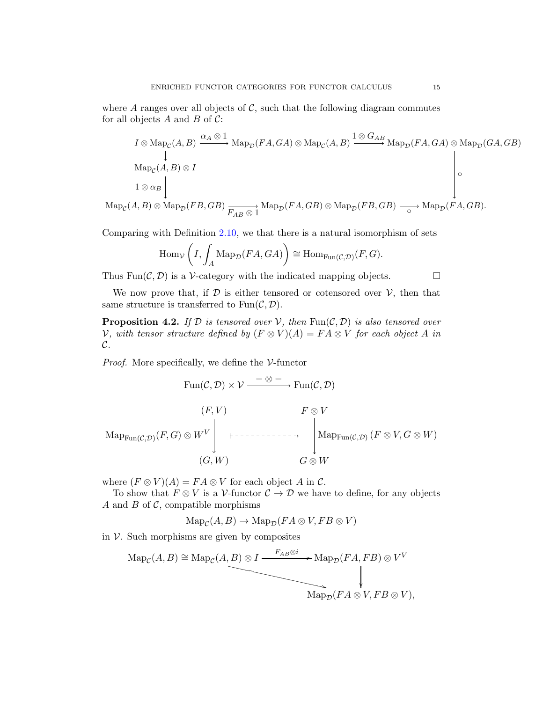where A ranges over all objects of  $C$ , such that the following diagram commutes for all objects  $A$  and  $B$  of  $C$ :

$$
I \otimes \operatorname{Map}_{\mathcal{C}}(A, B) \xrightarrow{\alpha_A \otimes 1} \operatorname{Map}_{\mathcal{D}}(FA, GA) \otimes \operatorname{Map}_{\mathcal{C}}(A, B) \xrightarrow{\mathbb{1} \otimes G_{AB}} \operatorname{Map}_{\mathcal{D}}(FA, GA) \otimes \operatorname{Map}_{\mathcal{D}}(GA, GB)
$$
\n
$$
\downarrow
$$
\n
$$
\operatorname{Map}_{\mathcal{C}}(A, B) \otimes I
$$
\n
$$
I \otimes \alpha_B
$$
\n
$$
(A, B) \otimes \operatorname{Map}_{\mathcal{C}}(FB, GB)
$$
\n
$$
M_{\mathcal{D}}(FA, GB) \otimes M_{\mathcal{D}}(FB, GB)
$$
\n
$$
(AB) \otimes M_{\mathcal{D}}(FA, GB)
$$

 $\mathrm{Map}_{\mathcal{C}}(A, B) \otimes \mathrm{Map}_{\mathcal{D}}(FB, GB) \xrightarrow{F_{AB} \otimes 1} \mathrm{Map}_{\mathcal{D}}(FA, GB) \otimes \mathrm{Map}_{\mathcal{D}}(FB, GB) \xrightarrow{\sim} \mathrm{Map}_{\mathcal{D}}(FA, GB).$ 

Comparing with Definition [2.10,](#page-5-1) we that there is a natural isomorphism of sets

$$
\operatorname{Hom}_{\mathcal{V}}\left(I, \int_A \operatorname{Map}_{\mathcal{D}}(FA, GA)\right) \cong \operatorname{Hom}_{\operatorname{Fun}(\mathcal{C}, \mathcal{D})}(F, G).
$$

Thus Fun( $\mathcal{C}, \mathcal{D}$ ) is a V-category with the indicated mapping objects.

<span id="page-14-0"></span>We now prove that, if  $D$  is either tensored or cotensored over  $V$ , then that same structure is transferred to  $Fun(\mathcal{C}, \mathcal{D})$ .

**Proposition 4.2.** *If*  $D$  *is tensored over*  $V$ *, then*  $Fun(C, D)$  *is also tensored over V*, with tensor structure defined by  $(F \otimes V)(A) = FA \otimes V$  for each object A in C*.*

*Proof.* More specifically, we define the  $\mathcal{V}\text{-}\text{functor}$ 

$$
\text{Fun}(\mathcal{C}, \mathcal{D}) \times \mathcal{V} \xrightarrow{- \otimes -} \text{Fun}(\mathcal{C}, \mathcal{D})
$$
\n
$$
(F, V) \qquad F \otimes V
$$
\n
$$
\text{Map}_{\text{Fun}(\mathcal{C}, \mathcal{D})}(F, G) \otimes W^V \qquad \qquad \downarrow \qquad \downarrow \qquad \downarrow \qquad \downarrow
$$
\n
$$
(G, W) \qquad G \otimes W
$$

where  $(F \otimes V)(A) = FA \otimes V$  for each object A in C.

To show that  $F \otimes V$  is a V-functor  $C \to \mathcal{D}$  we have to define, for any objects A and B of  $\mathcal{C}$ , compatible morphisms

$$
\operatorname{Map}_{\mathcal{C}}(A, B) \to \operatorname{Map}_{\mathcal{D}}(FA \otimes V, FB \otimes V)
$$

in  $V$ . Such morphisms are given by composites

$$
\text{Map}_{\mathcal{C}}(A, B) \cong \text{Map}_{\mathcal{C}}(A, B) \otimes I \xrightarrow{F_{AB} \otimes i} \text{Map}_{\mathcal{D}}(FA, FB) \otimes V^V
$$
\n
$$
\downarrow
$$
\n
$$
\text{Map}_{\mathcal{D}}(FA \otimes V, FB \otimes V),
$$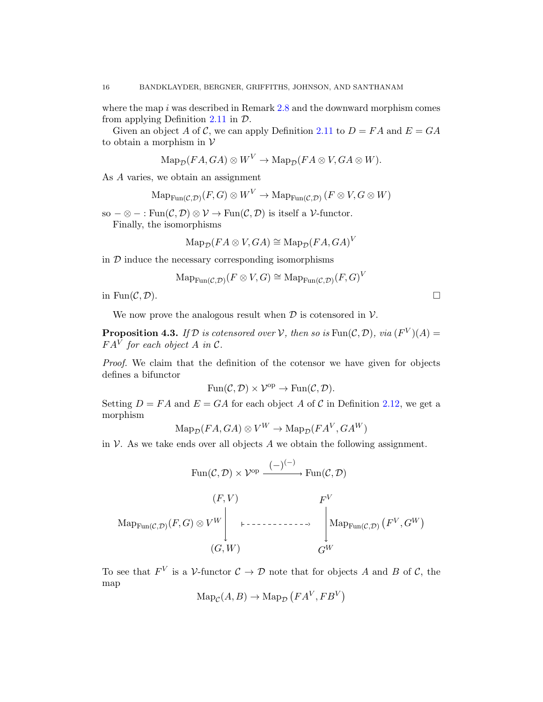where the map  $i$  was described in Remark [2.8](#page-4-1) and the downward morphism comes from applying Definition [2.11](#page-5-0) in D.

Given an object A of C, we can apply Definition [2.11](#page-5-0) to  $D = FA$  and  $E = GA$ to obtain a morphism in  $V$ 

$$
\mathrm{Map}_{\mathcal{D}}(FA, GA) \otimes W^V \to \mathrm{Map}_{\mathcal{D}}(FA \otimes V, GA \otimes W).
$$

As A varies, we obtain an assignment

$$
\mathrm{Map}_{\mathrm{Fun}(\mathcal{C},\mathcal{D})}(F,G) \otimes W^V \to \mathrm{Map}_{\mathrm{Fun}(\mathcal{C},\mathcal{D})}(F \otimes V, G \otimes W)
$$

so –  $\otimes$  – : Fun $(\mathcal{C}, \mathcal{D}) \otimes \mathcal{V} \to \text{Fun}(\mathcal{C}, \mathcal{D})$  is itself a *V*-functor.

Finally, the isomorphisms

$$
\operatorname{Map}_{\mathcal{D}}(FA \otimes V, GA) \cong \operatorname{Map}_{\mathcal{D}}(FA, GA)^{V}
$$

in  $D$  induce the necessary corresponding isomorphisms

$$
\mathrm{Map}_{\mathrm{Fun}(\mathcal{C},\mathcal{D})}(F \otimes V, G) \cong \mathrm{Map}_{\mathrm{Fun}(\mathcal{C},\mathcal{D})}(F,G)^V
$$

in Fun $(C, \mathcal{D})$ .

<span id="page-15-0"></span>We now prove the analogous result when  $\mathcal D$  is cotensored in  $\mathcal V$ .

**Proposition 4.3.** If D is cotensored over V, then so is  $\text{Fun}(\mathcal{C}, \mathcal{D})$ , via  $(F^V)(A) =$  $FA^V$  for each object A in  $\mathcal{C}.$ 

*Proof.* We claim that the definition of the cotensor we have given for objects defines a bifunctor

$$
Fun(\mathcal{C},\mathcal{D})\times \mathcal{V}^{op}\to Fun(\mathcal{C},\mathcal{D}).
$$

Setting  $D = FA$  and  $E = GA$  for each object A of C in Definition [2.12,](#page-6-1) we get a morphism

$$
\text{Map}_{\mathcal{D}}(FA, GA) \otimes V^W \to \text{Map}_{\mathcal{D}}(FA^V, GA^W)
$$

in  $\mathcal V$ . As we take ends over all objects A we obtain the following assignment.

$$
\text{Fun}(\mathcal{C}, \mathcal{D}) \times \mathcal{V}^{\text{op}} \xrightarrow{(-)^{(-)}} \text{Fun}(\mathcal{C}, \mathcal{D})
$$
\n
$$
(F, V) \qquad F^V
$$
\n
$$
\text{Map}_{\text{Fun}(\mathcal{C}, \mathcal{D})}(F, G) \otimes V^W \downarrow \qquad \qquad \downarrow \qquad \downarrow \qquad \qquad \downarrow \qquad \text{Map}_{\text{Fun}(\mathcal{C}, \mathcal{D})}(F^V, G^W)
$$
\n
$$
(G, W) \qquad \qquad G^W
$$

To see that  $F^V$  is a V-functor  $\mathcal{C} \to \mathcal{D}$  note that for objects A and B of C, the map

$$
\operatorname{Map}_{\mathcal{C}}(A, B) \to \operatorname{Map}_{\mathcal{D}}\left(FA^V, FB^V\right)
$$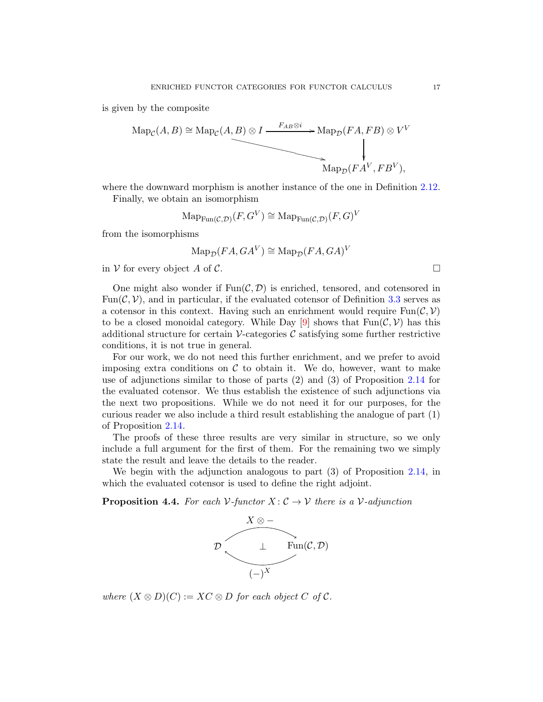is given by the composite

$$
\text{Map}_{\mathcal{C}}(A, B) \cong \text{Map}_{\mathcal{C}}(A, B) \otimes I \xrightarrow{F_{AB} \otimes i} \text{Map}_{\mathcal{D}}(FA, FB) \otimes V^V
$$
  
\n
$$
\text{Map}_{\mathcal{D}}(FA^V, FB^V),
$$

where the downward morphism is another instance of the one in Definition [2.12.](#page-6-1)

Finally, we obtain an isomorphism

$$
\operatorname{Map}_{\operatorname{Fun}(\mathcal{C},\mathcal{D})}(F,G^V) \cong \operatorname{Map}_{\operatorname{Fun}(\mathcal{C},\mathcal{D})}(F,G)^V
$$

from the isomorphisms

$$
\operatorname{Map}_{\mathcal{D}}(FA, GA^V) \cong \operatorname{Map}_{\mathcal{D}}(FA, GA)^V
$$

in V for every object A of C.

One might also wonder if  $Fun(\mathcal{C}, \mathcal{D})$  is enriched, tensored, and cotensored in Fun( $\mathcal{C}, \mathcal{V}$ ), and in particular, if the evaluated cotensor of Definition [3.3](#page-10-0) serves as a cotensor in this context. Having such an enrichment would require  $\text{Fun}(\mathcal{C}, \mathcal{V})$ to be a closed monoidal category. While Day [\[9\]](#page-34-11) shows that  $\text{Fun}(\mathcal{C}, \mathcal{V})$  has this additional structure for certain  $\mathcal V$ -categories  $\mathcal C$  satisfying some further restrictive conditions, it is not true in general.

For our work, we do not need this further enrichment, and we prefer to avoid imposing extra conditions on  $\mathcal C$  to obtain it. We do, however, want to make use of adjunctions similar to those of parts (2) and (3) of Proposition [2.14](#page-6-0) for the evaluated cotensor. We thus establish the existence of such adjunctions via the next two propositions. While we do not need it for our purposes, for the curious reader we also include a third result establishing the analogue of part (1) of Proposition [2.14.](#page-6-0)

The proofs of these three results are very similar in structure, so we only include a full argument for the first of them. For the remaining two we simply state the result and leave the details to the reader.

<span id="page-16-0"></span>We begin with the adjunction analogous to part (3) of Proposition [2.14,](#page-6-0) in which the evaluated cotensor is used to define the right adjoint.

**Proposition 4.4.** *For each*  $V$ *-functor*  $X: \mathcal{C} \to V$  *there is a*  $V$ *-adjunction* 



*where*  $(X \otimes D)(C) := XC \otimes D$  *for each object* C *of* C.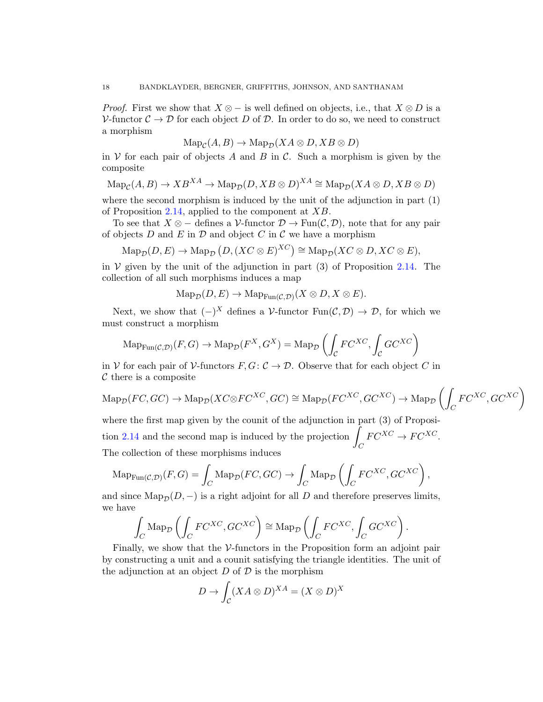*Proof.* First we show that  $X \otimes -$  is well defined on objects, i.e., that  $X \otimes D$  is a V-functor  $\mathcal{C} \to \mathcal{D}$  for each object D of D. In order to do so, we need to construct a morphism

$$
\operatorname{Map}_{\mathcal{C}}(A, B) \to \operatorname{Map}_{\mathcal{D}}(XA \otimes D, XB \otimes D)
$$

in  $V$  for each pair of objects A and B in C. Such a morphism is given by the composite

$$
\mathrm{Map}_{\mathcal{C}}(A, B) \to XB^{XA} \to \mathrm{Map}_{\mathcal{D}}(D, XB \otimes D)^{XA} \cong \mathrm{Map}_{\mathcal{D}}(XA \otimes D, XB \otimes D)
$$

where the second morphism is induced by the unit of the adjunction in part (1) of Proposition [2.14,](#page-6-0) applied to the component at XB.

To see that  $X \otimes -$  defines a V-functor  $\mathcal{D} \to \text{Fun}(\mathcal{C}, \mathcal{D})$ , note that for any pair of objects  $D$  and  $E$  in  $D$  and object  $C$  in  $C$  we have a morphism

$$
\mathrm{Map}_{\mathcal{D}}(D, E) \to \mathrm{Map}_{\mathcal{D}}(D, (XC \otimes E)^{XC}) \cong \mathrm{Map}_{\mathcal{D}}(XC \otimes D, XC \otimes E),
$$

in  $V$  given by the unit of the adjunction in part (3) of Proposition [2.14.](#page-6-0) The collection of all such morphisms induces a map

 $\operatorname{Map_{\mathcal{D}}}(D, E) \to \operatorname{Map}_{\operatorname{Fun}(\mathcal{C}, \mathcal{D})}(X \otimes D, X \otimes E).$ 

Next, we show that  $(-)^X$  defines a V-functor  $\text{Fun}(\mathcal{C},\mathcal{D}) \to \mathcal{D}$ , for which we must construct a morphism

$$
\mathrm{Map}_{\mathrm{Fun}(\mathcal{C},\mathcal{D})}(F,G) \to \mathrm{Map}_{\mathcal{D}}(F^X, G^X) = \mathrm{Map}_{\mathcal{D}}\left(\int_{\mathcal{C}} F C^{XC}, \int_{\mathcal{C}} G C^{XC}\right)
$$

in V for each pair of V-functors  $F, G: \mathcal{C} \to \mathcal{D}$ . Observe that for each object C in  $\mathcal C$  there is a composite

$$
\mathrm{Map}_{\mathcal{D}}(FC, GC) \to \mathrm{Map}_{\mathcal{D}}(XC \otimes FC^{XC}, GC) \cong \mathrm{Map}_{\mathcal{D}}(FC^{XC}, GC^{XC}) \to \mathrm{Map}_{\mathcal{D}}\left(\int_C FC^{XC}, GC^{XC}\right)
$$

where the first map given by the counit of the adjunction in part (3) of Proposi-tion [2.14](#page-6-0) and the second map is induced by the projection  $\int$  $\mathcal{C}_{0}^{0}$  $FC^{XC} \to FC^{XC}.$ The collection of these morphisms induces

$$
\mathrm{Map}_{\mathrm{Fun}(\mathcal{C},\mathcal{D})}(F,G) = \int_C \mathrm{Map}_{\mathcal{D}}(FC,GC) \to \int_C \mathrm{Map}_{\mathcal{D}}\left(\int_C FC^{XC}, GC^{XC}\right),
$$

and since  $\text{Map}_{\mathcal{D}}(D, -)$  is a right adjoint for all D and therefore preserves limits, we have

$$
\int_C \text{Map}_{\mathcal{D}}\left(\int_C FC^{XC}, GC^{XC}\right) \cong \text{Map}_{\mathcal{D}}\left(\int_C FC^{XC}, \int_C GC^{XC}\right).
$$

Finally, we show that the  $\mathcal V$ -functors in the Proposition form an adjoint pair by constructing a unit and a counit satisfying the triangle identities. The unit of the adjunction at an object  $D$  of  $\mathcal D$  is the morphism

$$
D \to \int_{\mathcal{C}} (XA \otimes D)^{XA} = (X \otimes D)^{X}
$$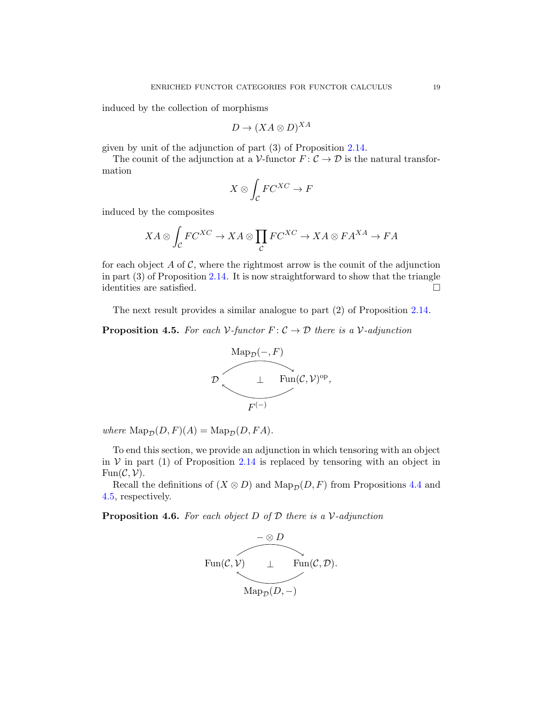induced by the collection of morphisms

$$
D \to (XA \otimes D)^{XA}
$$

given by unit of the adjunction of part (3) of Proposition [2.14.](#page-6-0)

The counit of the adjunction at a V-functor  $F: \mathcal{C} \to \mathcal{D}$  is the natural transformation

$$
X\otimes \int_{\mathcal{C}}FC^{XC}\rightarrow F
$$

induced by the composites

$$
XA \otimes \int_{\mathcal{C}} FC^{XC} \to XA \otimes \prod_{\mathcal{C}} FC^{XC} \to XA \otimes FA^{XA} \to FA
$$

for each object A of C, where the rightmost arrow is the counit of the adjunction in part  $(3)$  of Proposition [2.14.](#page-6-0) It is now straightforward to show that the triangle identities are satisfied.  $\hfill \square$ 

<span id="page-18-0"></span>The next result provides a similar analogue to part (2) of Proposition [2.14.](#page-6-0)

**Proposition 4.5.** For each  $V$ -functor  $F: \mathcal{C} \to \mathcal{D}$  there is a  $V$ -adjunction



*where*  $\text{Map}_{\mathcal{D}}(D, F)(A) = \text{Map}_{\mathcal{D}}(D, FA)$ .

To end this section, we provide an adjunction in which tensoring with an object in  $V$  in part (1) of Proposition [2.14](#page-6-0) is replaced by tensoring with an object in  $Fun(\mathcal{C}, \mathcal{V}).$ 

Recall the definitions of  $(X \otimes D)$  and  $\text{Map}_{\mathcal{D}}(D, F)$  from Propositions [4.4](#page-16-0) and [4.5,](#page-18-0) respectively.

Proposition 4.6. *For each object* D *of* D *there is a* V*-adjunction*

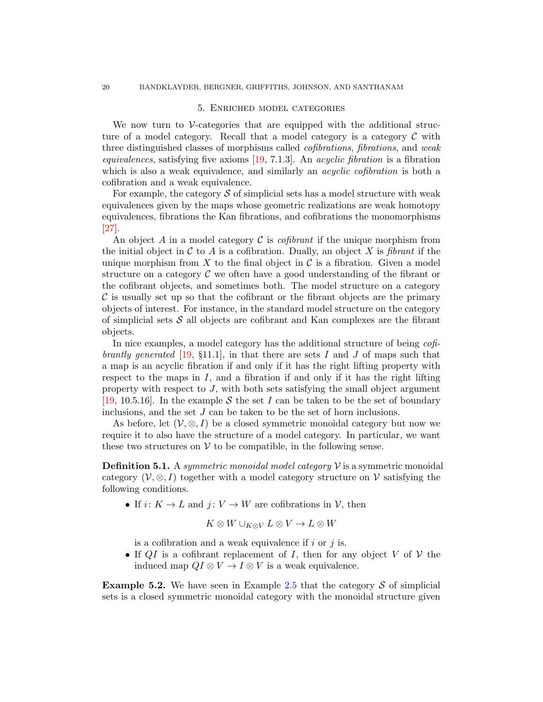#### 5. Enriched model categories

<span id="page-19-0"></span>We now turn to  $\mathcal V$ -categories that are equipped with the additional structure of a model category. Recall that a model category is a category  $C$  with three distinguished classes of morphisms called *cofibrations*, *fibrations*, and *weak equivalences*, satisfying five axioms [\[19,](#page-35-17) 7.1.3]. An *acyclic fibration* is a fibration which is also a weak equivalence, and similarly an *acyclic cofibration* is both a cofibration and a weak equivalence.

For example, the category  $\mathcal S$  of simplicial sets has a model structure with weak equivalences given by the maps whose geometric realizations are weak homotopy equivalences, fibrations the Kan fibrations, and cofibrations the monomorphisms [\[27\]](#page-35-18).

An object A in a model category C is *cofibrant* if the unique morphism from the initial object in  $\mathcal C$  to  $A$  is a cofibration. Dually, an object  $X$  is *fibrant* if the unique morphism from  $X$  to the final object in  $\mathcal C$  is a fibration. Given a model structure on a category  $\mathcal C$  we often have a good understanding of the fibrant or the cofibrant objects, and sometimes both. The model structure on a category  $\mathcal C$  is usually set up so that the cofibrant or the fibrant objects are the primary objects of interest. For instance, in the standard model structure on the category of simplicial sets  $\mathcal S$  all objects are cofibrant and Kan complexes are the fibrant objects.

In nice examples, a model category has the additional structure of being *cofibrantly generated* [\[19,](#page-35-17) §11.1], in that there are sets I and J of maps such that a map is an acyclic fibration if and only if it has the right lifting property with respect to the maps in  $I$ , and a fibration if and only if it has the right lifting property with respect to  $J$ , with both sets satisfying the small object argument [\[19,](#page-35-17) 10.5.16]. In the example S the set I can be taken to be the set of boundary inclusions, and the set J can be taken to be the set of horn inclusions.

As before, let  $(V, \otimes, I)$  be a closed symmetric monoidal category but now we require it to also have the structure of a model category. In particular, we want these two structures on  $V$  to be compatible, in the following sense.

Definition 5.1. A *symmetric monoidal model category* V is a symmetric monoidal category ( $V, \otimes, I$ ) together with a model category structure on V satisfying the following conditions.

• If  $i: K \to L$  and  $j: V \to W$  are cofibrations in V, then

$$
K\otimes W\cup_{K\otimes V}L\otimes V\to L\otimes W
$$

is a cofibration and a weak equivalence if  $i$  or  $j$  is.

• If QI is a cofibrant replacement of I, then for any object V of V the induced map  $QI \otimes V \to I \otimes V$  is a weak equivalence.

**Example 5.2.** We have seen in Example [2.5](#page-4-2) that the category  $S$  of simplicial sets is a closed symmetric monoidal category with the monoidal structure given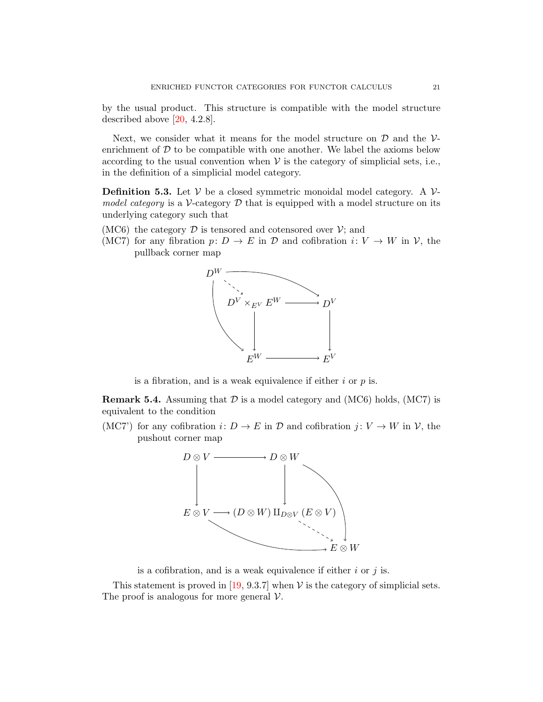by the usual product. This structure is compatible with the model structure described above [\[20,](#page-35-16) 4.2.8].

Next, we consider what it means for the model structure on  $\mathcal D$  and the  $\mathcal V$ enrichment of  $D$  to be compatible with one another. We label the axioms below according to the usual convention when  $V$  is the category of simplicial sets, i.e., in the definition of a simplicial model category.

**Definition 5.3.** Let  $V$  be a closed symmetric monoidal model category. A  $V$ *model category* is a V-category  $D$  that is equipped with a model structure on its underlying category such that

- (MC6) the category  $\mathcal D$  is tensored and cotensored over  $\mathcal V$ ; and
- (MC7) for any fibration  $p: D \to E$  in D and cofibration  $i: V \to W$  in  $\mathcal{V}$ , the pullback corner map



is a fibration, and is a weak equivalence if either  $i$  or  $p$  is.

**Remark 5.4.** Assuming that  $D$  is a model category and (MC6) holds, (MC7) is equivalent to the condition

(MC7') for any cofibration  $i: D \to E$  in  $D$  and cofibration  $j: V \to W$  in  $\mathcal{V}$ , the pushout corner map



is a cofibration, and is a weak equivalence if either  $i$  or  $j$  is.

This statement is proved in [\[19,](#page-35-17) 9.3.7] when  $V$  is the category of simplicial sets. The proof is analogous for more general  $\mathcal V$ .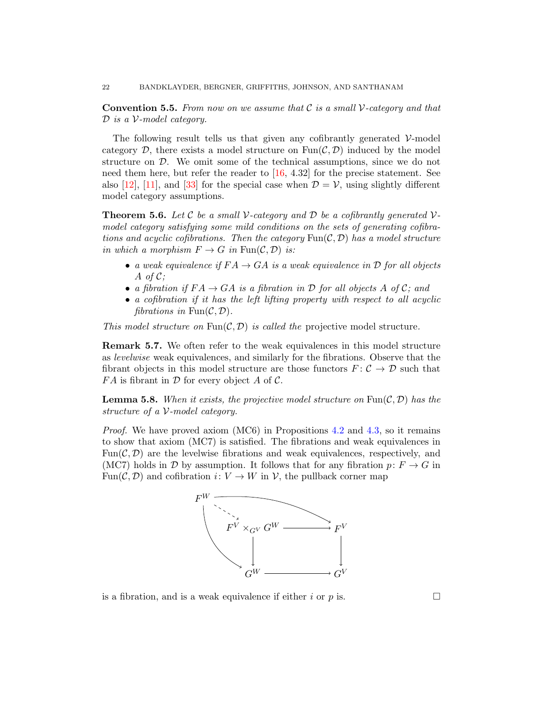Convention 5.5. *From now on we assume that* C *is a small* V*-category and that* D *is a* V*-model category.*

The following result tells us that given any cofibrantly generated  $\mathcal{V}\text{-model}$ category  $\mathcal{D}$ , there exists a model structure on  $\text{Fun}(\mathcal{C}, \mathcal{D})$  induced by the model structure on D. We omit some of the technical assumptions, since we do not need them here, but refer the reader to [\[16,](#page-35-19) 4.32] for the precise statement. See also [\[12\]](#page-34-12), [\[11\]](#page-34-13), and [\[33\]](#page-35-20) for the special case when  $\mathcal{D} = \mathcal{V}$ , using slightly different model category assumptions.

<span id="page-21-0"></span>**Theorem 5.6.** Let C be a small V-category and D be a cofibrantly generated V*model category satisfying some mild conditions on the sets of generating cofibrations and acyclic cofibrations. Then the category*  $\text{Fun}(\mathcal{C}, \mathcal{D})$  *has a model structure in which a morphism*  $F \to G$  *in* Fun( $C, D$ ) *is:* 

- *a weak equivalence if*  $FA \rightarrow GA$  *is a weak equivalence in*  $D$  *for all objects* A *of* C*;*
- *a fibration if*  $FA \rightarrow GA$  *is a fibration in*  $D$  *for all objects*  $A$  *of*  $C$ *; and*
- *a cofibration if it has the left lifting property with respect to all acyclic fibrations in*  $\text{Fun}(\mathcal{C}, \mathcal{D})$ *.*

*This model structure on*  $\text{Fun}(\mathcal{C}, \mathcal{D})$  *is called the* projective model structure.

Remark 5.7. We often refer to the weak equivalences in this model structure as *levelwise* weak equivalences, and similarly for the fibrations. Observe that the fibrant objects in this model structure are those functors  $F: \mathcal{C} \to \mathcal{D}$  such that  $FA$  is fibrant in  $D$  for every object A of C.

**Lemma 5.8.** When it exists, the projective model structure on  $\text{Fun}(\mathcal{C}, \mathcal{D})$  has the *structure of a* V*-model category.*

*Proof.* We have proved axiom (MC6) in Propositions [4.2](#page-14-0) and [4.3,](#page-15-0) so it remains to show that axiom (MC7) is satisfied. The fibrations and weak equivalences in  $Fun(\mathcal{C}, \mathcal{D})$  are the levelwise fibrations and weak equivalences, respectively, and (MC7) holds in D by assumption. It follows that for any fibration  $p: F \to G$  in Fun(C, D) and cofibration  $i: V \to W$  in V, the pullback corner map



is a fibration, and is a weak equivalence if either i or p is.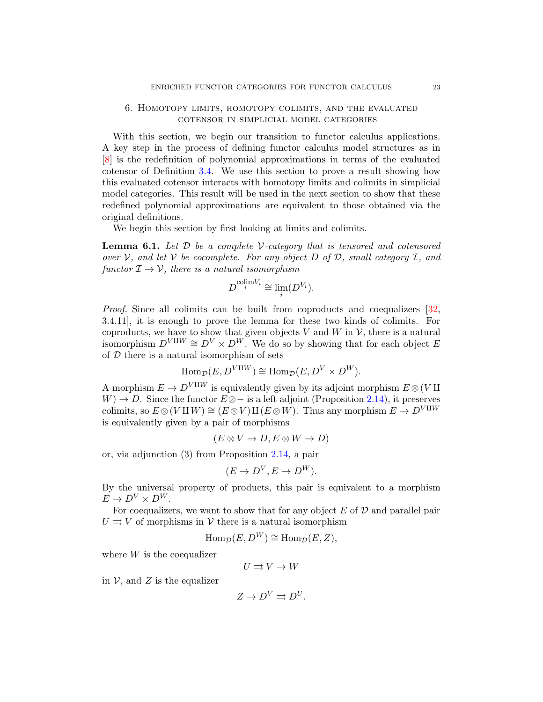# <span id="page-22-0"></span>6. Homotopy limits, homotopy colimits, and the evaluated cotensor in simplicial model categories

With this section, we begin our transition to functor calculus applications. A key step in the process of defining functor calculus model structures as in [\[8\]](#page-34-5) is the redefinition of polynomial approximations in terms of the evaluated cotensor of Definition [3.4.](#page-10-1) We use this section to prove a result showing how this evaluated cotensor interacts with homotopy limits and colimits in simplicial model categories. This result will be used in the next section to show that these redefined polynomial approximations are equivalent to those obtained via the original definitions.

<span id="page-22-1"></span>We begin this section by first looking at limits and colimits.

Lemma 6.1. *Let* D *be a complete* V*-category that is tensored and cotensored over* V*, and let* V *be cocomplete. For any object* D *of* D*, small category* I*, and functor*  $\mathcal{I} \rightarrow \mathcal{V}$ *, there is a natural isomorphism* 

$$
D^{\mathrm{colim} V_i} \cong \lim_i (D^{V_i}).
$$

*Proof.* Since all colimits can be built from coproducts and coequalizers [\[32,](#page-35-21) 3.4.11], it is enough to prove the lemma for these two kinds of colimits. For coproducts, we have to show that given objects  $V$  and  $W$  in  $V$ , there is a natural isomorphism  $D^{V \amalg W} \cong D^{V} \times D^{W}$ . We do so by showing that for each object E of  $D$  there is a natural isomorphism of sets

$$
\operatorname{Hom}_{\mathcal{D}}(E, D^{V \amalg W}) \cong \operatorname{Hom}_{\mathcal{D}}(E, D^V \times D^W).
$$

A morphism  $E \to D^{V \amalg W}$  is equivalently given by its adjoint morphism  $E \otimes (V \amalg$  $W$ ) → D. Since the functor  $E \otimes -$  is a left adjoint (Proposition [2.14\)](#page-6-0), it preserves colimits, so  $E \otimes (V \amalg W) \cong (E \otimes V) \amalg (E \otimes W)$ . Thus any morphism  $E \to D^{V \amalg W}$ is equivalently given by a pair of morphisms

$$
(E \otimes V \to D, E \otimes W \to D)
$$

or, via adjunction (3) from Proposition [2.14,](#page-6-0) a pair

$$
(E \to D^V, E \to D^W).
$$

By the universal property of products, this pair is equivalent to a morphism  $E \to D^V \times D^W$ .

For coequalizers, we want to show that for any object  $E$  of  $D$  and parallel pair  $U \rightrightarrows V$  of morphisms in V there is a natural isomorphism

$$
\operatorname{Hom}_{\mathcal{D}}(E, D^W) \cong \operatorname{Hom}_{\mathcal{D}}(E, Z),
$$

where  $W$  is the coequalizer

$$
U\rightrightarrows V\rightarrow W
$$

in  $\mathcal V$ , and  $Z$  is the equalizer

$$
Z \to D^V \rightrightarrows D^U.
$$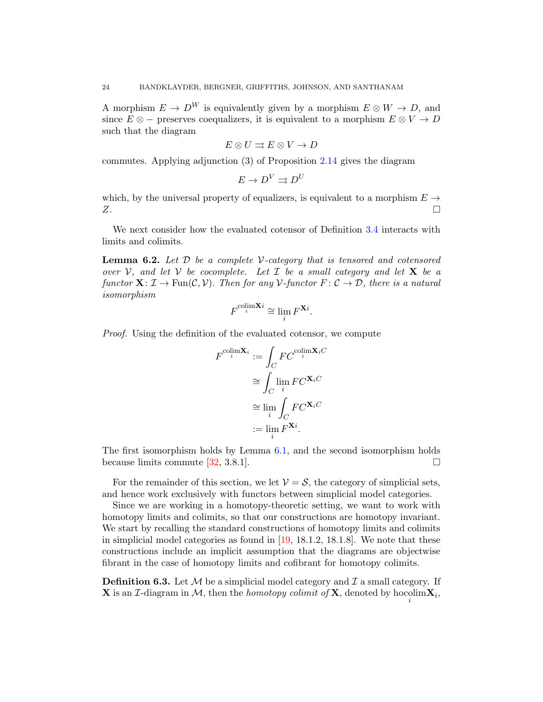A morphism  $E \to D^W$  is equivalently given by a morphism  $E \otimes W \to D$ , and since  $E \otimes -$  preserves coequalizers, it is equivalent to a morphism  $E \otimes V \to D$ such that the diagram

$$
E\otimes U\rightrightarrows E\otimes V\to D
$$

commutes. Applying adjunction (3) of Proposition [2.14](#page-6-0) gives the diagram

$$
E \to D^V \rightrightarrows D^U
$$

which, by the universal property of equalizers, is equivalent to a morphism  $E \rightarrow$  $Z$ .

<span id="page-23-0"></span>We next consider how the evaluated cotensor of Definition [3.4](#page-10-1) interacts with limits and colimits.

Lemma 6.2. *Let* D *be a complete* V*-category that is tensored and cotensored over*  $V$ , and let  $V$  *be cocomplete. Let*  $I$  *be a small category and let*  $X$  *be a functor*  $X: \mathcal{I} \to \text{Fun}(\mathcal{C}, \mathcal{V})$ . *Then for any*  $\mathcal{V}$ -functor  $F: \mathcal{C} \to \mathcal{D}$ , *there is a natural isomorphism*

$$
F^{\text{colim}\mathbf{X}i} \cong \lim_{i} F^{\mathbf{X}i}.
$$

*Proof.* Using the definition of the evaluated cotensor, we compute

$$
F^{\text{colim}\mathbf{X}_i} := \int_C FC^{\text{colim}\mathbf{X}_iC}
$$

$$
\cong \int_C \lim_i FC^{\mathbf{X}_iC}
$$

$$
\cong \lim_i \int_C FC^{\mathbf{X}_iC}
$$

$$
:= \lim_i F^{\mathbf{X}_i}
$$

The first isomorphism holds by Lemma [6.1,](#page-22-1) and the second isomorphism holds because limits commute [\[32,](#page-35-21) 3.8.1].

For the remainder of this section, we let  $\mathcal{V} = \mathcal{S}$ , the category of simplicial sets, and hence work exclusively with functors between simplicial model categories.

Since we are working in a homotopy-theoretic setting, we want to work with homotopy limits and colimits, so that our constructions are homotopy invariant. We start by recalling the standard constructions of homotopy limits and colimits in simplicial model categories as found in [\[19,](#page-35-17) 18.1.2, 18.1.8]. We note that these constructions include an implicit assumption that the diagrams are objectwise fibrant in the case of homotopy limits and cofibrant for homotopy colimits.

**Definition 6.3.** Let  $M$  be a simplicial model category and  $\mathcal{I}$  a small category. If **X** is an *I*-diagram in *M*, then the *homotopy colimit of* **X**, denoted by  $\text{hocolim} \mathbf{X}_i$ ,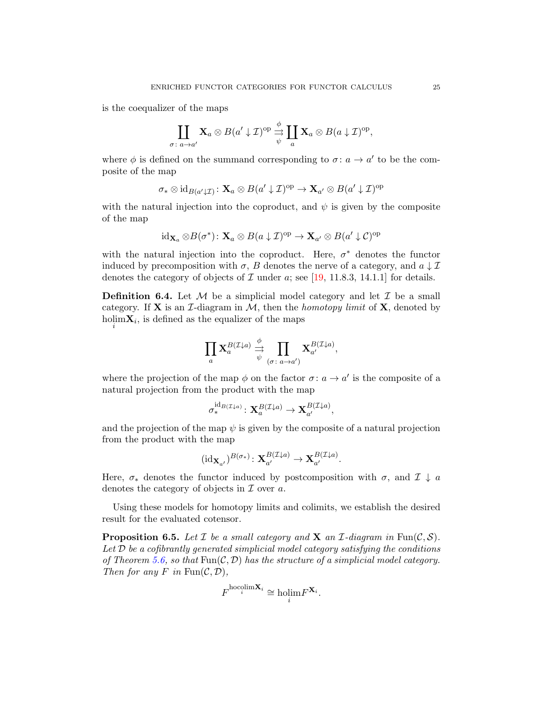is the coequalizer of the maps

$$
\coprod_{\sigma \colon a \to a'} \mathbf{X}_a \otimes B(a' \downarrow \mathcal{I})^{\mathrm{op}} \stackrel{\phi}{\underset{\psi}{\to}} \coprod_a \mathbf{X}_a \otimes B(a \downarrow \mathcal{I})^{\mathrm{op}},
$$

where  $\phi$  is defined on the summand corresponding to  $\sigma: a \to a'$  to be the composite of the map

$$
\sigma_* \otimes id_{B(a'\downarrow \mathcal{I})} \colon \mathbf{X}_a \otimes B(a' \downarrow \mathcal{I})^{\mathrm{op}} \to \mathbf{X}_{a'} \otimes B(a' \downarrow \mathcal{I})^{\mathrm{op}}
$$

with the natural injection into the coproduct, and  $\psi$  is given by the composite of the map

$$
id_{\mathbf{X}_a} \otimes B(\sigma^*)\colon \mathbf{X}_a \otimes B(a \downarrow \mathcal{I})^{op} \to \mathbf{X}_{a'} \otimes B(a' \downarrow \mathcal{C})^{op}
$$

with the natural injection into the coproduct. Here,  $\sigma^*$  denotes the functor induced by precomposition with  $\sigma$ , B denotes the nerve of a category, and  $a \downarrow \mathcal{I}$ denotes the category of objects of  $\mathcal I$  under a; see [\[19,](#page-35-17) 11.8.3, 14.1.1] for details.

**Definition 6.4.** Let  $M$  be a simplicial model category and let  $\mathcal{I}$  be a small category. If **X** is an *I*-diagram in  $M$ , then the *homotopy limit* of **X**, denoted by  $\text{holim}\mathbf{X}_i$ , is defined as the equalizer of the maps

$$
\prod_a \mathbf{X}_a^{B(\mathcal{I}\downarrow a)} \stackrel{\phi}{\underset{\psi}{\rightarrow}} \prod_{(\sigma \colon a \to a')} \mathbf{X}_{a'}^{B(\mathcal{I}\downarrow a)},
$$

where the projection of the map  $\phi$  on the factor  $\sigma: a \to a'$  is the composite of a natural projection from the product with the map

$$
\sigma^{\operatorname{id}_{B(\mathcal{I}\downarrow a)}}_*\colon \mathbf{X}_a^{B(\mathcal{I}\downarrow a)}\to \mathbf{X}_{a'}^{B(\mathcal{I}\downarrow a)},
$$

and the projection of the map  $\psi$  is given by the composite of a natural projection from the product with the map

$$
(\mathrm{id}_{\mathbf{X}_{a'}})^{B(\sigma_{*})} \colon \mathbf{X}_{a'}^{B(\mathcal{I}\downarrow a)} \to \mathbf{X}_{a'}^{B(\mathcal{I}\downarrow a)}.
$$

Here,  $\sigma_*$  denotes the functor induced by postcomposition with  $\sigma$ , and  $\mathcal{I} \downarrow a$ denotes the category of objects in  $\mathcal I$  over a.

<span id="page-24-0"></span>Using these models for homotopy limits and colimits, we establish the desired result for the evaluated cotensor.

**Proposition 6.5.** Let  $\mathcal I$  be a small category and  $\mathbf X$  an  $\mathcal I$ -diagram in Fun( $\mathcal C, \mathcal S$ ). *Let* D *be a cofibrantly generated simplicial model category satisfying the conditions of Theorem [5.6,](#page-21-0) so that*  $Fun(C, \mathcal{D})$  *has the structure of a simplicial model category. Then for any*  $F$  *in*  $\text{Fun}(\mathcal{C}, \mathcal{D}),$ 

$$
F^{\text{hocolim}\mathbf{X}_i} \cong \text{holim} F^{\mathbf{X}_i}.
$$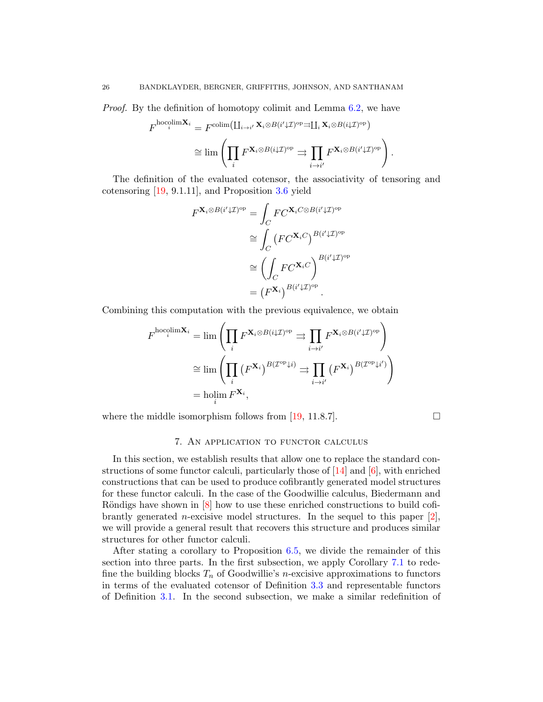*Proof.* By the definition of homotopy colimit and Lemma [6.2,](#page-23-0) we have

$$
F^{\text{hocolim}\mathbf{X}_{i}} = F^{\text{colim}\left(\coprod_{i\to i'} \mathbf{X}_{i} \otimes B(i'\downarrow \mathcal{I})^{\text{op}} \rightrightarrows \coprod_{i} \mathbf{X}_{i} \otimes B(i\downarrow \mathcal{I})^{\text{op}}\right)} \cong \lim \left(\prod_{i} F^{\mathbf{X}_{i} \otimes B(i\downarrow \mathcal{I})^{\text{op}}}\rightrightarrows \prod_{i\to i'} F^{\mathbf{X}_{i} \otimes B(i'\downarrow \mathcal{I})^{\text{op}}}\right).
$$

The definition of the evaluated cotensor, the associativity of tensoring and cotensoring [\[19,](#page-35-17) 9.1.11], and Proposition [3.6](#page-11-0) yield

$$
F^{\mathbf{X}_i \otimes B(i'\downarrow \mathcal{I})^{\mathrm{op}}} = \int_C FC^{\mathbf{X}_i C \otimes B(i'\downarrow \mathcal{I})^{\mathrm{op}}} \cong \int_C \left( FC^{\mathbf{X}_i C} \right)^{B(i'\downarrow \mathcal{I})^{\mathrm{op}}} \cong \left( \int_C FC^{\mathbf{X}_i C} \right)^{B(i'\downarrow \mathcal{I})^{\mathrm{op}}} = \left( F^{\mathbf{X}_i} \right)^{B(i'\downarrow \mathcal{I})^{\mathrm{op}}}.
$$

Combining this computation with the previous equivalence, we obtain

$$
F^{\text{hocolim}\mathbf{X}_{i}} = \lim \left( \prod_{i} F^{\mathbf{X}_{i} \otimes B(i\downarrow \mathcal{I})^{\text{op}}} \right) \Rightarrow \prod_{i \to i'} F^{\mathbf{X}_{i} \otimes B(i'\downarrow \mathcal{I})^{\text{op}}} \right)
$$

$$
\cong \lim \left( \prod_{i} \left( F^{\mathbf{X}_{i}} \right)^{B(\mathcal{I}^{\text{op}} \downarrow i)} \right) \Rightarrow \prod_{i \to i'} \left( F^{\mathbf{X}_{i}} \right)^{B(\mathcal{I}^{\text{op}} \downarrow i')}
$$

$$
= \text{holim}_{i} F^{\mathbf{X}_{i}},
$$

<span id="page-25-0"></span>where the middle isomorphism follows from [\[19,](#page-35-17) 11.8.7].

#### 7. An application to functor calculus

In this section, we establish results that allow one to replace the standard constructions of some functor calculi, particularly those of  $[14]$  and  $[6]$ , with enriched constructions that can be used to produce cofibrantly generated model structures for these functor calculi. In the case of the Goodwillie calculus, Biedermann and Röndigs have shown in  $[8]$  how to use these enriched constructions to build cofibrantly generated *n*-excisive model structures. In the sequel to this paper  $[2]$ , we will provide a general result that recovers this structure and produces similar structures for other functor calculi.

After stating a corollary to Proposition [6.5,](#page-24-0) we divide the remainder of this section into three parts. In the first subsection, we apply Corollary [7.1](#page-26-1) to redefine the building blocks  $T_n$  of Goodwillie's *n*-excisive approximations to functors in terms of the evaluated cotensor of Definition [3.3](#page-10-0) and representable functors of Definition [3.1.](#page-8-1) In the second subsection, we make a similar redefinition of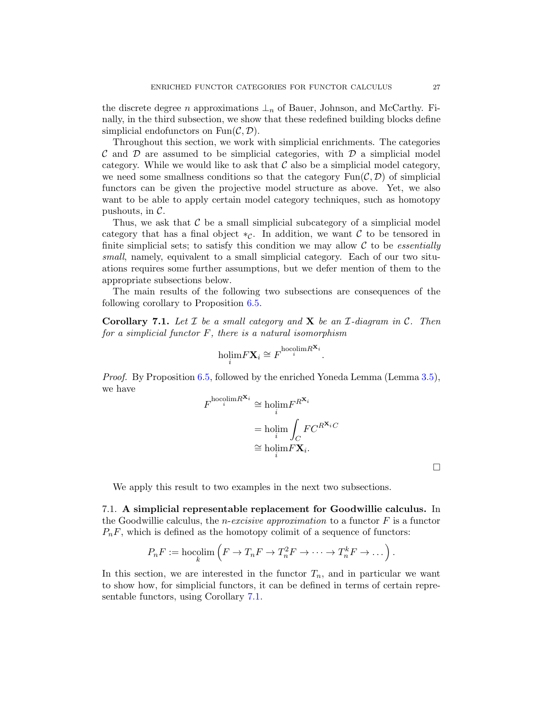the discrete degree n approximations  $\perp_n$  of Bauer, Johnson, and McCarthy. Finally, in the third subsection, we show that these redefined building blocks define simplicial endofunctors on  $\text{Fun}(\mathcal{C}, \mathcal{D})$ .

Throughout this section, we work with simplicial enrichments. The categories  $\mathcal C$  and  $\mathcal D$  are assumed to be simplicial categories, with  $\mathcal D$  a simplicial model category. While we would like to ask that  $\mathcal C$  also be a simplicial model category, we need some smallness conditions so that the category  $\text{Fun}(\mathcal{C},\mathcal{D})$  of simplicial functors can be given the projective model structure as above. Yet, we also want to be able to apply certain model category techniques, such as homotopy pushouts, in C.

Thus, we ask that  $\mathcal C$  be a small simplicial subcategory of a simplicial model category that has a final object  $*_c$ . In addition, we want C to be tensored in finite simplicial sets; to satisfy this condition we may allow C to be *essentially small*, namely, equivalent to a small simplicial category. Each of our two situations requires some further assumptions, but we defer mention of them to the appropriate subsections below.

<span id="page-26-1"></span>The main results of the following two subsections are consequences of the following corollary to Proposition [6.5.](#page-24-0)

Corollary 7.1. *Let* I *be a small category and* X *be an* I*-diagram in* C*. Then for a simplicial functor* F*, there is a natural isomorphism*

$$
\underset{i}{\text{holim}} F\mathbf{X}_i \cong F^{\text{hocolim} R^{\mathbf{X}_i}}.
$$

*Proof.* By Proposition [6.5,](#page-24-0) followed by the enriched Yoneda Lemma (Lemma [3.5\)](#page-10-2), we have

$$
F^{\text{hocolim} R^{\mathbf{X}_i}} \cong \underset{i}{\text{holim}} F^{R^{\mathbf{X}_i}} \\
= \underset{i}{\text{holim}} \int_C F C^{R^{\mathbf{X}_i} C} \\
\cong \underset{i}{\text{holim}} F \mathbf{X}_i.
$$

We apply this result to two examples in the next two subsections.

<span id="page-26-0"></span>7.1. A simplicial representable replacement for Goodwillie calculus. In the Goodwillie calculus, the n-*excisive approximation* to a functor F is a functor  $P_nF$ , which is defined as the homotopy colimit of a sequence of functors:

$$
P_nF := \operatorname*{hocolim}\left(F \to T_nF \to T_n^2F \to \cdots \to T_n^kF \to \dots\right)
$$

In this section, we are interested in the functor  $T_n$ , and in particular we want to show how, for simplicial functors, it can be defined in terms of certain representable functors, using Corollary [7.1.](#page-26-1)

 $\Box$ 

.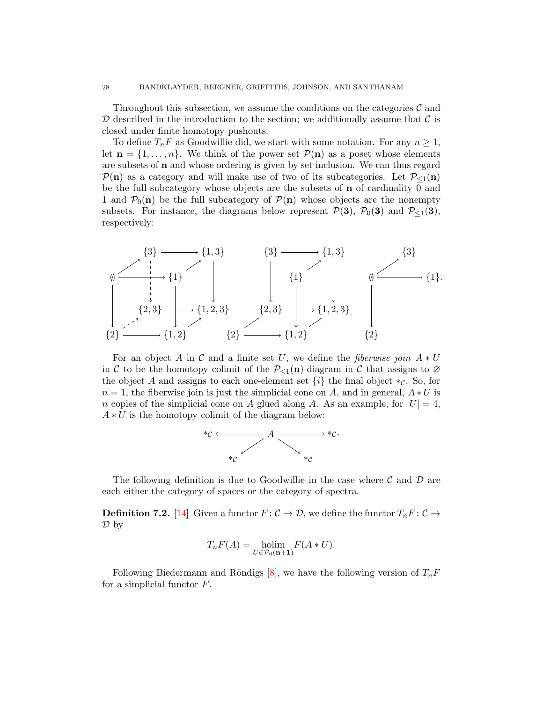Throughout this subsection, we assume the conditions on the categories  $\mathcal C$  and  $\mathcal D$  described in the introduction to the section; we additionally assume that  $\mathcal C$  is closed under finite homotopy pushouts.

To define  $T_nF$  as Goodwillie did, we start with some notation. For any  $n \geq 1$ , let  $\mathbf{n} = \{1, \ldots, n\}$ . We think of the power set  $\mathcal{P}(\mathbf{n})$  as a poset whose elements are subsets of n and whose ordering is given by set inclusion. We can thus regard  $\mathcal{P}(\mathbf{n})$  as a category and will make use of two of its subcategories. Let  $\mathcal{P}_{\leq 1}(\mathbf{n})$ be the full subcategory whose objects are the subsets of n of cardinality 0 and 1 and  $\mathcal{P}_0(\mathbf{n})$  be the full subcategory of  $\mathcal{P}(\mathbf{n})$  whose objects are the nonempty subsets. For instance, the diagrams below represent  $\mathcal{P}(3)$ ,  $\mathcal{P}_0(3)$  and  $\mathcal{P}_{\leq 1}(3)$ , respectively:



For an object A in C and a finite set U, we define the *fiberwise join*  $A * U$ in C to be the homotopy colimit of the  $P_{\leq 1}(n)$ -diagram in C that assigns to Ø the object A and assigns to each one-element set  $\{i\}$  the final object  $*_c$ . So, for  $n = 1$ , the fiberwise join is just the simplicial cone on A, and in general,  $A * U$  is n copies of the simplicial cone on A glued along A. As an example, for  $|U| = 4$ ,  $A * U$  is the homotopy colimit of the diagram below:



The following definition is due to Goodwillie in the case where  $\mathcal C$  and  $\mathcal D$  are each either the category of spaces or the category of spectra.

**Definition 7.2.** [\[14\]](#page-34-1) Given a functor  $F: \mathcal{C} \to \mathcal{D}$ , we define the functor  $T_nF: \mathcal{C} \to$  $\mathcal{D}$  by

$$
T_n F(A) = \underset{U \in \mathcal{P}_0(\mathbf{n}+1)}{\text{holim}} F(A * U).
$$

<span id="page-27-0"></span>Following Biedermann and Röndigs [\[8\]](#page-34-5), we have the following version of  $T_nF$ for a simplicial functor F.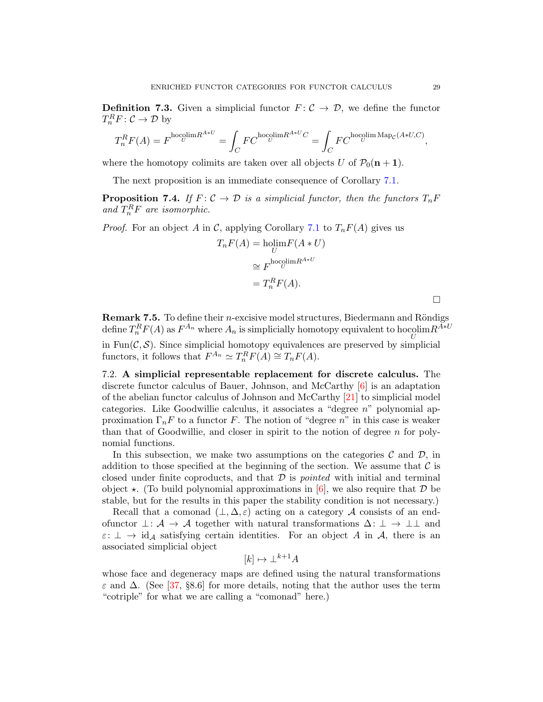**Definition 7.3.** Given a simplicial functor  $F: \mathcal{C} \to \mathcal{D}$ , we define the functor  $T_n^R F: \mathcal{C} \to \mathcal{D}$  by

$$
T_n^R F(A) = F^{\text{hocolim} R^{A*U}} = \int_C F C^{\text{hocolim} R^{A*U}C} = \int_C F C^{\text{hocolim} \text{Map}_C(A*U,C)},
$$

where the homotopy colimits are taken over all objects U of  $\mathcal{P}_0(n + 1)$ .

<span id="page-28-1"></span>The next proposition is an immediate consequence of Corollary [7.1.](#page-26-1)

**Proposition 7.4.** *If*  $F: \mathcal{C} \to \mathcal{D}$  *is a simplicial functor, then the functors*  $T_n F$ and  $T_n^R F$  are isomorphic.

*Proof.* For an object A in C, applying Corollary [7.1](#page-26-1) to  $T_nF(A)$  gives us

$$
T_n F(A) = \underset{U}{\text{holim}} F(A * U)
$$

$$
\cong F^{\text{hocolim}R^{A*U}}
$$

$$
= T_n^R F(A).
$$

Remark 7.5. To define their *n*-excisive model structures, Biedermann and Röndigs define  $T_n^R F(A)$  as  $F^{A_n}$  where  $A_n$  is simplicially homotopy equivalent to hocolim $R^{A\ast U}$ 

in  $Fun(\mathcal{C}, \mathcal{S})$ . Since simplicial homotopy equivalences are preserved by simplicial functors, it follows that  $F^{A_n} \simeq T_n^R F(A) \cong T_n F(A)$ .

<span id="page-28-0"></span>7.2. A simplicial representable replacement for discrete calculus. The discrete functor calculus of Bauer, Johnson, and McCarthy [\[6\]](#page-34-8) is an adaptation of the abelian functor calculus of Johnson and McCarthy [\[21\]](#page-35-22) to simplicial model categories. Like Goodwillie calculus, it associates a "degree n" polynomial approximation  $\Gamma_n$ F to a functor F. The notion of "degree n" in this case is weaker than that of Goodwillie, and closer in spirit to the notion of degree  $n$  for polynomial functions.

In this subsection, we make two assumptions on the categories  $\mathcal C$  and  $\mathcal D$ , in addition to those specified at the beginning of the section. We assume that  $\mathcal C$  is closed under finite coproducts, and that D is *pointed* with initial and terminal object  $\star$ . (To build polynomial approximations in [\[6\]](#page-34-8), we also require that  $\mathcal D$  be stable, but for the results in this paper the stability condition is not necessary.)

Recall that a comonad  $(\bot, \Delta, \varepsilon)$  acting on a category A consists of an endofunctor  $\bot: \mathcal{A} \to \mathcal{A}$  together with natural transformations  $\Delta: \bot \to \bot \bot$  and  $\varepsilon: \perp \to id_{\mathcal{A}}$  satisfying certain identities. For an object A in A, there is an associated simplicial object

$$
[k] \mapsto \perp^{k+1} A
$$

whose face and degeneracy maps are defined using the natural transformations  $\varepsilon$  and  $\Delta$ . (See [\[37,](#page-35-23) §8.6] for more details, noting that the author uses the term "cotriple" for what we are calling a "comonad" here.)

 $\Box$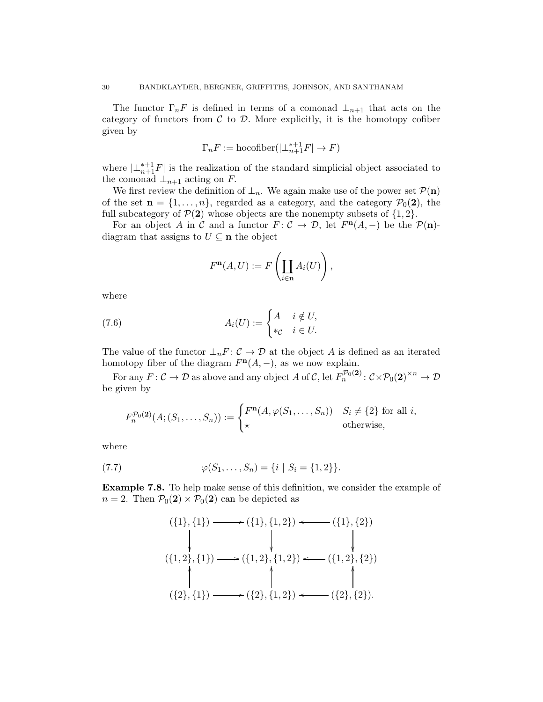The functor  $\Gamma_n$ F is defined in terms of a comonad  $\bot_{n+1}$  that acts on the category of functors from  $C$  to  $D$ . More explicitly, it is the homotopy cofiber given by

$$
\Gamma_n F := \text{hocoliber}(|\bot_{n+1}^{*+1} F| \to F)
$$

where  $\left|\perp_{n+1}^{*+1}F\right|$  is the realization of the standard simplicial object associated to the comonad  $\perp_{n+1}$  acting on F.

We first review the definition of  $\perp_n$ . We again make use of the power set  $\mathcal{P}(n)$ of the set  $\mathbf{n} = \{1, \ldots, n\}$ , regarded as a category, and the category  $\mathcal{P}_0(2)$ , the full subcategory of  $\mathcal{P}(2)$  whose objects are the nonempty subsets of  $\{1, 2\}$ .

For an object A in C and a functor  $F: \mathcal{C} \to \mathcal{D}$ , let  $F^{\mathbf{n}}(A, -)$  be the  $\mathcal{P}(\mathbf{n})$ diagram that assigns to  $U \subseteq n$  the object

<span id="page-29-0"></span>
$$
F^{\mathbf{n}}(A, U) := F\left(\coprod_{i \in \mathbf{n}} A_i(U)\right),
$$

where

(7.6) 
$$
A_i(U) := \begin{cases} A & i \notin U, \\ *_{\mathcal{C}} & i \in U. \end{cases}
$$

The value of the functor  $\perp_n F : \mathcal{C} \to \mathcal{D}$  at the object A is defined as an iterated homotopy fiber of the diagram  $F<sup>n</sup>(A, -)$ , as we now explain.

For any  $F: \mathcal{C} \to \mathcal{D}$  as above and any object A of C, let  $F_n^{\mathcal{P}_0(2)}: \mathcal{C} \times \mathcal{P}_0(2)^{\times n} \to \mathcal{D}$ be given by

$$
F_n^{\mathcal{P}_0(\mathbf{2})}(A; (S_1, \dots, S_n)) := \begin{cases} F^{\mathbf{n}}(A, \varphi(S_1, \dots, S_n)) & S_i \neq \{2\} \text{ for all } i, \\ \star & \text{otherwise,} \end{cases}
$$

where

(7.7) 
$$
\varphi(S_1, \ldots, S_n) = \{i \mid S_i = \{1, 2\}\}.
$$

Example 7.8. To help make sense of this definition, we consider the example of  $n = 2$ . Then  $\mathcal{P}_0(2) \times \mathcal{P}_0(2)$  can be depicted as

<span id="page-29-1"></span>
$$
(\{1\},\{1\}) \longrightarrow (\{1\},\{1,2\}) \longleftarrow (\{1\},\{2\})
$$
  
\n
$$
(\{1,2\},\{1\}) \longrightarrow (\{1,2\},\{1,2\}) \longleftarrow (\{1,2\},\{2\})
$$
  
\n
$$
(\{2\},\{1\}) \longrightarrow (\{2\},\{1,2\}) \longleftarrow (\{2\},\{2\}).
$$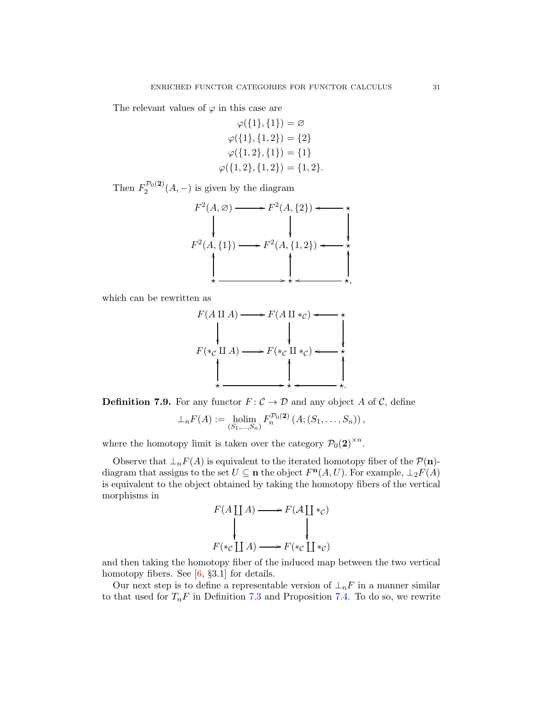The relevant values of  $\varphi$  in this case are

$$
\varphi(\{1\},\{1\}) = \varnothing
$$

$$
\varphi(\{1\},\{1,2\}) = \{2\}
$$

$$
\varphi(\{1,2\},\{1\}) = \{1\}
$$

$$
\varphi(\{1,2\},\{1,2\}) = \{1,2\}.
$$

Then  $F_2^{\mathcal{P}_0(2)}$  $2^{P_0(2)}(A,-)$  is given by the diagram

F 2 (A, ∅) / F 2 (A, {2}) o ⋆ F 2 (A, {1}) /F 2 (A, {1, 2}) ⋆ o ⋆ OO /⋆ OO ⋆, OO o

which can be rewritten as

$$
F(A \amalg A) \longrightarrow F(A \amalg *_{\mathcal{C}}) \longleftarrow \star
$$
\n
$$
F(*_{\mathcal{C}} \amalg A) \longrightarrow F(*_{\mathcal{C}} \amalg *_{\mathcal{C}}) \longleftarrow \star
$$
\n
$$
\downarrow \qquad \qquad \downarrow
$$
\n
$$
\star \longrightarrow
$$

**Definition 7.9.** For any functor  $F: \mathcal{C} \to \mathcal{D}$  and any object A of C, define

$$
\perp_n F(A) := \text{holim}_{(S_1, ..., S_n)} F_n^{\mathcal{P}_0(2)} (A; (S_1, ..., S_n)),
$$

where the homotopy limit is taken over the category  $\mathcal{P}_0(2)^{\times n}$ .

Observe that  $\perp_n F(A)$  is equivalent to the iterated homotopy fiber of the  $\mathcal{P}(\mathbf{n})$ diagram that assigns to the set  $U \subseteq \mathbf{n}$  the object  $F^{\mathbf{n}}(A, U)$ . For example,  $\perp_2 F(A)$ is equivalent to the object obtained by taking the homotopy fibers of the vertical morphisms in

$$
F(A \coprod A) \longrightarrow F(A \coprod *_{\mathcal{C}})
$$
  
\n
$$
\downarrow \qquad \qquad \downarrow
$$
  
\n
$$
F(*_{\mathcal{C}} \coprod A) \longrightarrow F(*_{\mathcal{C}} \coprod *_{\mathcal{C}})
$$

and then taking the homotopy fiber of the induced map between the two vertical homotopy fibers. See [\[6,](#page-34-8) §3.1] for details.

Our next step is to define a representable version of  $\perp_n F$  in a manner similar to that used for  $T_nF$  in Definition [7.3](#page-27-0) and Proposition [7.4.](#page-28-1) To do so, we rewrite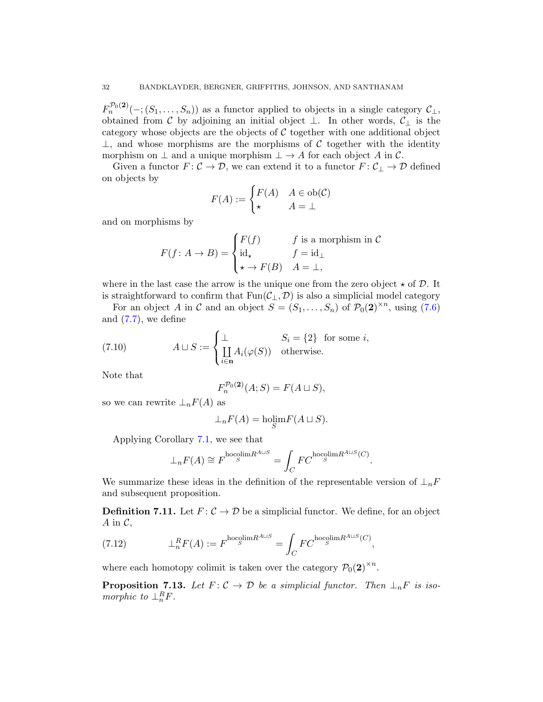$F_n^{\mathcal{P}_0(2)}(-; (S_1, \ldots, S_n))$  as a functor applied to objects in a single category  $\mathcal{C}_\perp$ , obtained from C by adjoining an initial object  $\perp$ . In other words,  $\mathcal{C}_{\perp}$  is the category whose objects are the objects of  $\mathcal C$  together with one additional object  $\perp$ , and whose morphisms are the morphisms of C together with the identity morphism on  $\perp$  and a unique morphism  $\perp \to A$  for each object A in C.

Given a functor  $F: \mathcal{C} \to \mathcal{D}$ , we can extend it to a functor  $F: \mathcal{C}_\perp \to \mathcal{D}$  defined on objects by

$$
F(A) := \begin{cases} F(A) & A \in ob(\mathcal{C}) \\ \star & A = \bot \end{cases}
$$

and on morphisms by

$$
F(f: A \to B) = \begin{cases} F(f) & f \text{ is a morphism in } C \\ \mathrm{id}_{\star} & f = \mathrm{id}_{\perp} \\ \star \to F(B) & A = \perp, \end{cases}
$$

where in the last case the arrow is the unique one from the zero object  $\star$  of D. It is straightforward to confirm that  $Fun(\mathcal{C}_{\perp}, \mathcal{D})$  is also a simplicial model category

For an object A in C and an object  $S = (S_1, \ldots, S_n)$  of  $\mathcal{P}_0(2)^{\times n}$ , using [\(7.6\)](#page-29-0) and  $(7.7)$ , we define

(7.10) 
$$
A \sqcup S := \begin{cases} \perp & S_i = \{2\} \text{ for some } i, \\ \coprod_{i \in \mathbf{n}} A_i(\varphi(S)) & \text{otherwise.} \end{cases}
$$

Note that

<span id="page-31-0"></span>
$$
F_n^{\mathcal{P}_0(\mathbf{2})}(A;S) = F(A \sqcup S),
$$

so we can rewrite  $\perp_n F(A)$  as

$$
\perp_n F(A) = \underset{S}{\text{holim}} F(A \sqcup S).
$$

Applying Corollary [7.1,](#page-26-1) we see that

$$
\perp_n F(A) \cong F^{\text{hocolim} R^{A \sqcup S}} = \int_C F C^{\text{hocolim} R^{A \sqcup S}(C)}
$$

.

We summarize these ideas in the definition of the representable version of  $\perp_n F$ and subsequent proposition.

**Definition 7.11.** Let  $F: \mathcal{C} \to \mathcal{D}$  be a simplicial functor. We define, for an object A in  $\mathcal{C}$ ,

(7.12) 
$$
\perp_n^R F(A) := F^{\text{hocolim}R^{A\sqcup S}} = \int_C F C^{\text{hocolim}R^{A\sqcup S}(C)},
$$

where each homotopy colimit is taken over the category  $\mathcal{P}_0(2)^{\times n}$ .

**Proposition 7.13.** Let  $F: \mathcal{C} \to \mathcal{D}$  be a simplicial functor. Then  $\perp_n F$  is iso*morphic to*  $\perp_n^R F$ .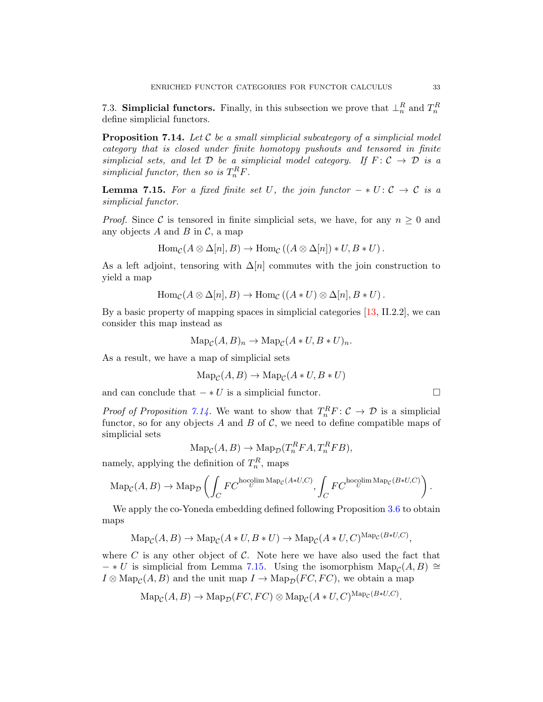<span id="page-32-1"></span><span id="page-32-0"></span>7.3. Simplicial functors. Finally, in this subsection we prove that  $\perp_n^R$  and  $T_n^R$ define simplicial functors.

Proposition 7.14. *Let* C *be a small simplicial subcategory of a simplicial model category that is closed under finite homotopy pushouts and tensored in finite simplicial sets, and let*  $D$  *be a simplicial model category.* If  $F: C \rightarrow D$  *is a*  $simplified functor, then so is T<sub>n</sub><sup>R</sup>F.$ 

<span id="page-32-2"></span>**Lemma 7.15.** For a fixed finite set U, the join functor  $- * U : C \rightarrow C$  is a *simplicial functor.*

*Proof.* Since C is tensored in finite simplicial sets, we have, for any  $n \geq 0$  and any objects A and B in  $\mathcal{C}$ , a map

$$
\text{Hom}_{\mathcal{C}}(A \otimes \Delta[n], B) \to \text{Hom}_{\mathcal{C}}((A \otimes \Delta[n]) * U, B * U).
$$

As a left adjoint, tensoring with  $\Delta[n]$  commutes with the join construction to yield a map

$$
\text{Hom}_{\mathcal{C}}(A \otimes \Delta[n], B) \to \text{Hom}_{\mathcal{C}}((A * U) \otimes \Delta[n], B * U).
$$

By a basic property of mapping spaces in simplicial categories [\[13,](#page-34-14) II.2.2], we can consider this map instead as

$$
\mathrm{Map}_{\mathcal{C}}(A, B)_n \to \mathrm{Map}_{\mathcal{C}}(A \ast U, B \ast U)_n.
$$

As a result, we have a map of simplicial sets

$$
\text{Map}_{\mathcal{C}}(A, B) \to \text{Map}_{\mathcal{C}}(A * U, B * U)
$$

and can conclude that  $-*U$  is a simplicial functor.  $\Box$ 

*Proof of Proposition* [7.14.](#page-32-1) We want to show that  $T_n^R F : C \to D$  is a simplicial functor, so for any objects A and B of C, we need to define compatible maps of simplicial sets

$$
\mathrm{Map}_{\mathcal{C}}(A, B) \to \mathrm{Map}_{\mathcal{D}}(T_n^R FA, T_n^R FB),
$$

namely, applying the definition of  $T_n^R$ , maps

$$
\mathrm{Map}_{\mathcal{C}}(A, B) \to \mathrm{Map}_{\mathcal{D}}\left(\int_C FC^{\text{hocolim Map}_{\mathcal{C}}(A*U, C)}, \int_C FC^{\text{hocolim Map}_{\mathcal{C}}(B*U, C)}\right).
$$

We apply the co-Yoneda embedding defined following Proposition [3.6](#page-11-0) to obtain maps

$$
\mathrm{Map}_{\mathcal{C}}(A, B) \to \mathrm{Map}_{\mathcal{C}}(A * U, B * U) \to \mathrm{Map}_{\mathcal{C}}(A * U, C)^{\mathrm{Map}_{\mathcal{C}}(B * U, C)},
$$

where  $C$  is any other object of  $C$ . Note here we have also used the fact that  $- * U$  is simplicial from Lemma [7.15.](#page-32-2) Using the isomorphism  $\text{Map}_{\mathcal{C}}(A, B) \cong$  $I \otimes \text{Map}_{\mathcal{C}}(A, B)$  and the unit map  $I \to \text{Map}_{\mathcal{D}}(FC, FC)$ , we obtain a map

$$
\mathrm{Map}_{\mathcal{C}}(A, B) \to \mathrm{Map}_{\mathcal{D}}(FC, FC) \otimes \mathrm{Map}_{\mathcal{C}}(A * U, C)^{\mathrm{Map}_{\mathcal{C}}(B * U, C)}
$$

.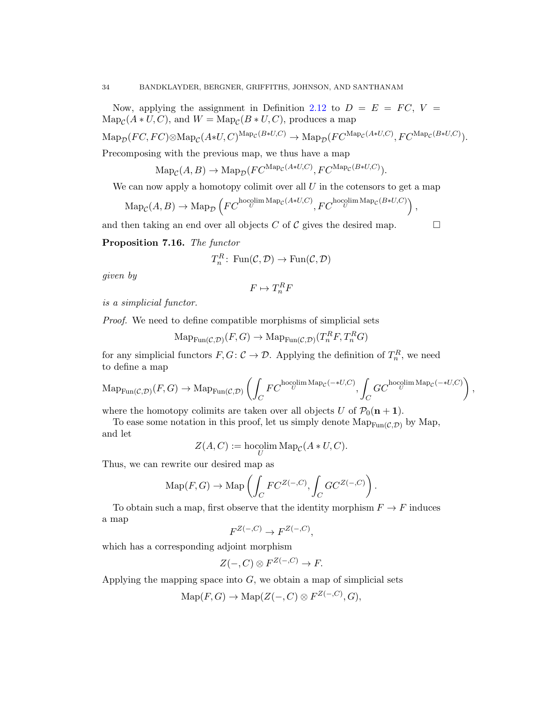Now, applying the assignment in Definition [2.12](#page-6-1) to  $D = E = FC$ ,  $V =$  $\text{Map}_{\mathcal{C}}(A*U, C)$ , and  $W = \text{Map}_{\mathcal{C}}(B*U, C)$ , produces a map

$$
\mathrm{Map}_{\mathcal{D}}(FC, FC) \otimes \mathrm{Map}_{\mathcal{C}}(A*U, C)^{\mathrm{Map}_{\mathcal{C}}(B*U, C)} \to \mathrm{Map}_{\mathcal{D}}(FC^{\mathrm{Map}_{\mathcal{C}}(A*U, C)}, FC^{\mathrm{Map}_{\mathcal{C}}(B*U, C)}).
$$

Precomposing with the previous map, we thus have a map

 $\text{Map}_{\mathcal{C}}(A, B) \to \text{Map}_{\mathcal{D}}(FC^{\text{Map}_{\mathcal{C}}(A*U, C)}, FC^{\text{Map}_{\mathcal{C}}(B*U, C)}).$ 

We can now apply a homotopy colimit over all  $U$  in the cotensors to get a map

$$
\mathrm{Map}_{\mathcal{C}}(A, B) \to \mathrm{Map}_{\mathcal{D}}\left( FC^{\text{hocolim Map}_{\mathcal{C}}(A*U, C)}, FC^{\text{hocolim Map}_{\mathcal{C}}(B*U, C)} \right),
$$

and then taking an end over all objects C of C gives the desired map.  $\Box$ 

Proposition 7.16. *The functor*

$$
T_n^R\colon \operatorname{Fun}(\mathcal{C},\mathcal{D}) \to \operatorname{Fun}(\mathcal{C},\mathcal{D})
$$

*given by*

$$
F \mapsto T_n^R F
$$

*is a simplicial functor.*

*Proof.* We need to define compatible morphisms of simplicial sets

$$
\mathrm{Map}_{\mathrm{Fun}(\mathcal{C}, \mathcal{D})}(F, G) \to \mathrm{Map}_{\mathrm{Fun}(\mathcal{C}, \mathcal{D})}(T_n^R F, T_n^R G)
$$

for any simplicial functors  $F, G: \mathcal{C} \to \mathcal{D}$ . Applying the definition of  $T_n^R$ , we need to define a map

$$
\mathrm{Map}_{\mathrm{Fun}(\mathcal{C},\mathcal{D})}(F,G) \to \mathrm{Map}_{\mathrm{Fun}(\mathcal{C},\mathcal{D})}\left(\int_C FC^{\text{hocolim}\,\mathrm{Map}_{\mathcal{C}}(-*U,C)}, \int_C GC^{\text{hocolim}\,\mathrm{Map}_{\mathcal{C}}(-*U,C)}\right),
$$

where the homotopy colimits are taken over all objects U of  $\mathcal{P}_0(n + 1)$ .

To ease some notation in this proof, let us simply denote  $\text{Map}_{\text{Fun}(\mathcal{C}, \mathcal{D})}$  by Map, and let

$$
Z(A, C) := \operatorname{hocolim}_U \operatorname{Map}_{\mathcal C}(A \ast U, C).
$$

Thus, we can rewrite our desired map as

$$
\mathrm{Map}(F,G) \to \mathrm{Map}\left(\int_C FC^{Z(-,C)}, \int_C GC^{Z(-,C)}\right).
$$

To obtain such a map, first observe that the identity morphism  $F \to F$  induces a map

$$
F^{Z(-,C)} \to F^{Z(-,C)},
$$

which has a corresponding adjoint morphism

$$
Z(-,C) \otimes F^{Z(-,C)} \to F.
$$

Applying the mapping space into  $G$ , we obtain a map of simplicial sets

$$
\mathrm{Map}(F,G) \to \mathrm{Map}(Z(-,C) \otimes F^{Z(-,C)}, G),
$$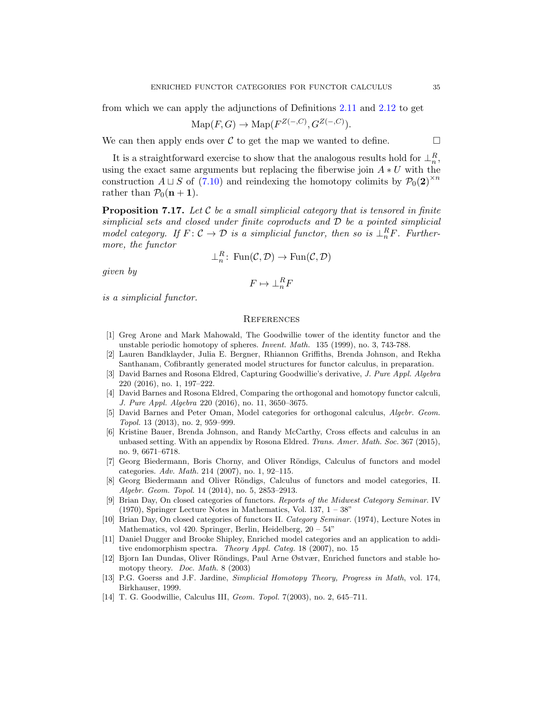from which we can apply the adjunctions of Definitions [2.11](#page-5-0) and [2.12](#page-6-1) to get

$$
\mathrm{Map}(F,G) \to \mathrm{Map}(F^{Z(-,C)}, G^{Z(-,C)}).
$$

We can then apply ends over  $\mathcal C$  to get the map we wanted to define.

It is a straightforward exercise to show that the analogous results hold for  $\perp_n^R$ , using the exact same arguments but replacing the fiberwise join  $A * U$  with the construction  $A \sqcup S$  of [\(7.10\)](#page-31-0) and reindexing the homotopy colimits by  $\mathcal{P}_0(2)^{\times n}$ rather than  $P_0(n + 1)$ .

Proposition 7.17. *Let* C *be a small simplicial category that is tensored in finite simplicial sets and closed under finite coproducts and* D *be a pointed simplicial model category.* If  $F: \mathcal{C} \to \mathcal{D}$  is a simplicial functor, then so is  $\perp_n^R F$ . Further*more, the functor*

$$
\perp_n^R: \text{Fun}(\mathcal{C}, \mathcal{D}) \to \text{Fun}(\mathcal{C}, \mathcal{D})
$$

*given by*

$$
F \mapsto \perp_n^R F
$$

*is a simplicial functor.*

#### <span id="page-34-0"></span>**REFERENCES**

- <span id="page-34-2"></span>[1] Greg Arone and Mark Mahowald, The Goodwillie tower of the identity functor and the unstable periodic homotopy of spheres. Invent. Math. 135 (1999), no. 3, 743-788.
- <span id="page-34-9"></span>[2] Lauren Bandklayder, Julia E. Bergner, Rhiannon Griffiths, Brenda Johnson, and Rekha Santhanam, Cofibrantly generated model structures for functor calculus, in preparation.
- <span id="page-34-6"></span>[3] David Barnes and Rosona Eldred, Capturing Goodwillie's derivative, J. Pure Appl. Algebra 220 (2016), no. 1, 197–222.
- <span id="page-34-7"></span>[4] David Barnes and Rosona Eldred, Comparing the orthogonal and homotopy functor calculi, J. Pure Appl. Algebra 220 (2016), no. 11, 3650–3675.
- <span id="page-34-3"></span>[5] David Barnes and Peter Oman, Model categories for orthogonal calculus, Algebr. Geom. Topol. 13 (2013), no. 2, 959–999.
- <span id="page-34-8"></span>[6] Kristine Bauer, Brenda Johnson, and Randy McCarthy, Cross effects and calculus in an unbased setting. With an appendix by Rosona Eldred. Trans. Amer. Math. Soc. 367 (2015), no. 9, 6671–6718.
- <span id="page-34-4"></span>[7] Georg Biedermann, Boris Chorny, and Oliver Röndigs, Calculus of functors and model categories. Adv. Math. 214 (2007), no. 1, 92–115.
- <span id="page-34-5"></span>[8] Georg Biedermann and Oliver Röndigs, Calculus of functors and model categories, II. Algebr. Geom. Topol. 14 (2014), no. 5, 2853–2913.
- <span id="page-34-11"></span>[9] Brian Day, On closed categories of functors. Reports of the Midwest Category Seminar. IV  $(1970)$ , Springer Lecture Notes in Mathematics, Vol. 137,  $1 - 38$ "
- <span id="page-34-10"></span>[10] Brian Day, On closed categories of functors II. Category Seminar. (1974), Lecture Notes in Mathematics, vol 420. Springer, Berlin, Heidelberg, 20 – 54"
- <span id="page-34-13"></span>[11] Daniel Dugger and Brooke Shipley, Enriched model categories and an application to additive endomorphism spectra. Theory Appl. Categ. 18 (2007), no. 15
- <span id="page-34-12"></span>[12] Bjorn Ian Dundas, Oliver Röndings, Paul Arne Østvær, Enriched functors and stable homotopy theory. Doc. Math. 8 (2003)
- <span id="page-34-14"></span>[13] P.G. Goerss and J.F. Jardine, Simplicial Homotopy Theory, Progress in Math, vol. 174, Birkhauser, 1999.
- <span id="page-34-1"></span>[14] T. G. Goodwillie, Calculus III, Geom. Topol. 7(2003), no. 2, 645–711.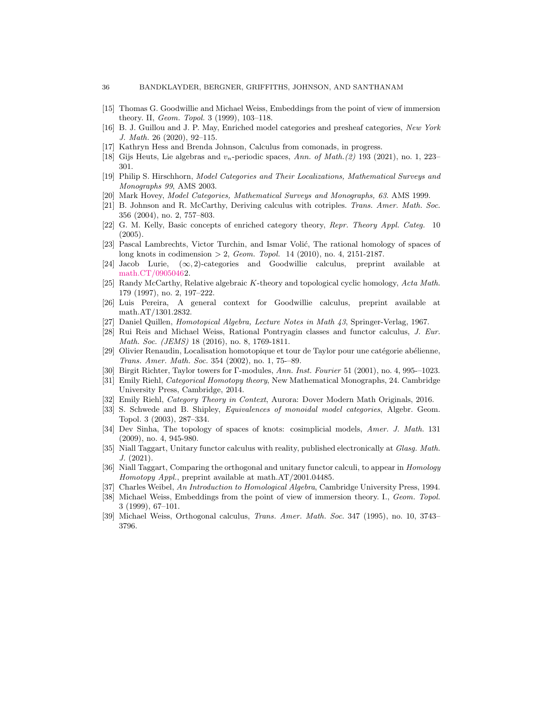- <span id="page-35-2"></span>[15] Thomas G. Goodwillie and Michael Weiss, Embeddings from the point of view of immersion theory. II, Geom. Topol. 3 (1999), 103–118.
- <span id="page-35-19"></span>[16] B. J. Guillou and J. P. May, Enriched model categories and presheaf categories, New York J. Math. 26 (2020), 92–115.
- <span id="page-35-1"></span>[17] Kathryn Hess and Brenda Johnson, Calculus from comonads, in progress.
- <span id="page-35-17"></span>[18] Gijs Heuts, Lie algebras and  $v_n$ -periodic spaces, Ann. of Math.(2) 193 (2021), no. 1, 223– 301.
- <span id="page-35-16"></span>[19] Philip S. Hirschhorn, Model Categories and Their Localizations, Mathematical Surveys and Monographs 99, AMS 2003.
- <span id="page-35-22"></span>[20] Mark Hovey, Model Categories, Mathematical Surveys and Monographs, 63. AMS 1999.
- [21] B. Johnson and R. McCarthy, Deriving calculus with cotriples. Trans. Amer. Math. Soc. 356 (2004), no. 2, 757–803.
- <span id="page-35-14"></span>[22] G. M. Kelly, Basic concepts of enriched category theory, Repr. Theory Appl. Categ. 10 (2005).
- <span id="page-35-5"></span>[23] Pascal Lambrechts, Victor Turchin, and Ismar Volić, The rational homology of spaces of long knots in codimension  $> 2$ , *Geom. Topol.* 14 (2010), no. 4, 2151-2187.
- <span id="page-35-10"></span>[24] Jacob Lurie,  $(\infty, 2)$ -categories and Goodwillie calculus, preprint available at [math.CT/09050462](http://arxiv.org/abs/math/0905046).
- <span id="page-35-0"></span>[25] Randy McCarthy, Relative algebraic K-theory and topological cyclic homology, Acta Math. 179 (1997), no. 2, 197–222.
- <span id="page-35-11"></span>[26] Luis Pereira, A general context for Goodwillie calculus, preprint available at math.AT/1301.2832.
- <span id="page-35-18"></span><span id="page-35-6"></span>[27] Daniel Quillen, Homotopical Algebra, Lecture Notes in Math 43, Springer-Verlag, 1967.
- [28] Rui Reis and Michael Weiss, Rational Pontryagin classes and functor calculus, J. Eur. Math. Soc. (JEMS) 18 (2016), no. 8, 1769-1811.
- <span id="page-35-12"></span>[29] Olivier Renaudin, Localisation homotopique et tour de Taylor pour une catégorie abélienne, Trans. Amer. Math. Soc. 354 (2002), no. 1, 75-–89.
- <span id="page-35-15"></span><span id="page-35-13"></span>[30] Birgit Richter, Taylor towers for Γ-modules, Ann. Inst. Fourier 51 (2001), no. 4, 995-–1023.
- [31] Emily Riehl, Categorical Homotopy theory, New Mathematical Monographs, 24. Cambridge University Press, Cambridge, 2014.
- <span id="page-35-21"></span><span id="page-35-20"></span>[32] Emily Riehl, Category Theory in Context, Aurora: Dover Modern Math Originals, 2016.
- [33] S. Schwede and B. Shipley, *Equivalences of monoidal model categories*, Algebr. Geom. Topol. 3 (2003), 287–334.
- <span id="page-35-7"></span>[34] Dev Sinha, The topology of spaces of knots: cosimplicial models, Amer. J. Math. 131 (2009), no. 4, 945-980.
- <span id="page-35-8"></span>[35] Niall Taggart, Unitary functor calculus with reality, published electronically at Glasg. Math. J. (2021).
- <span id="page-35-9"></span>[36] Niall Taggart, Comparing the orthogonal and unitary functor calculi, to appear in Homology Homotopy Appl., preprint available at math.AT/2001.04485.
- <span id="page-35-23"></span><span id="page-35-4"></span>[37] Charles Weibel, An Introduction to Homological Algebra, Cambridge University Press, 1994.
- [38] Michael Weiss, Embeddings from the point of view of immersion theory. I., Geom. Topol. 3 (1999), 67–101.
- <span id="page-35-3"></span>[39] Michael Weiss, Orthogonal calculus, Trans. Amer. Math. Soc. 347 (1995), no. 10, 3743– 3796.